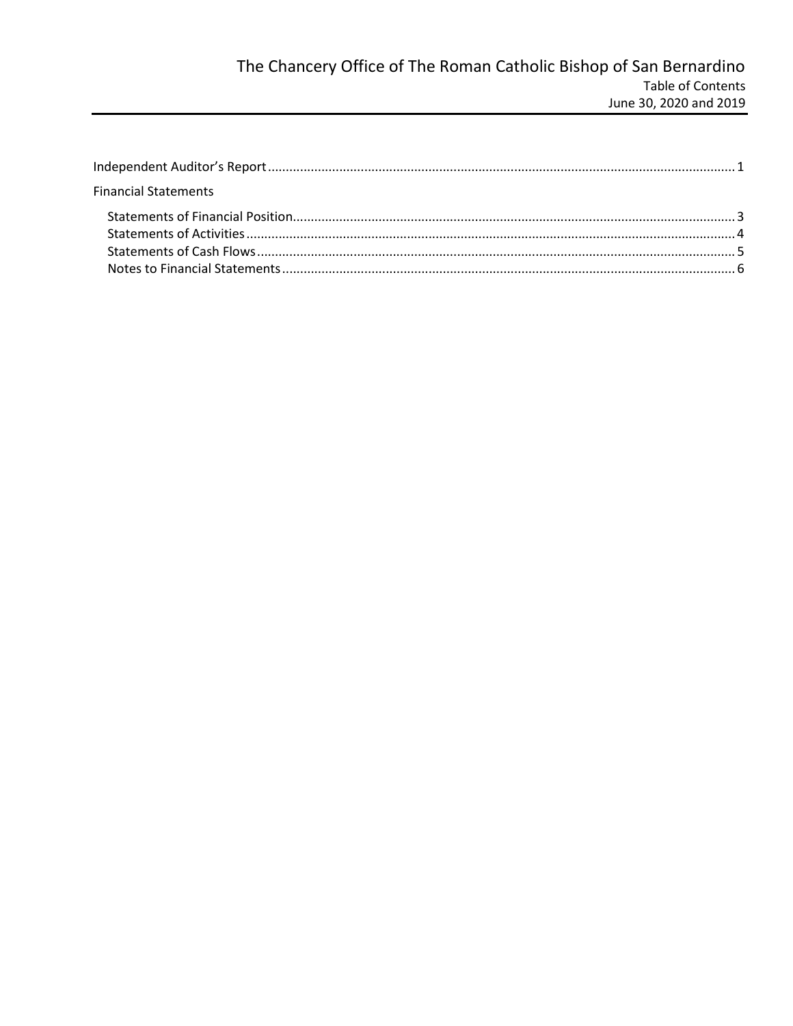| <b>Financial Statements</b> |  |
|-----------------------------|--|
|                             |  |
|                             |  |
|                             |  |
|                             |  |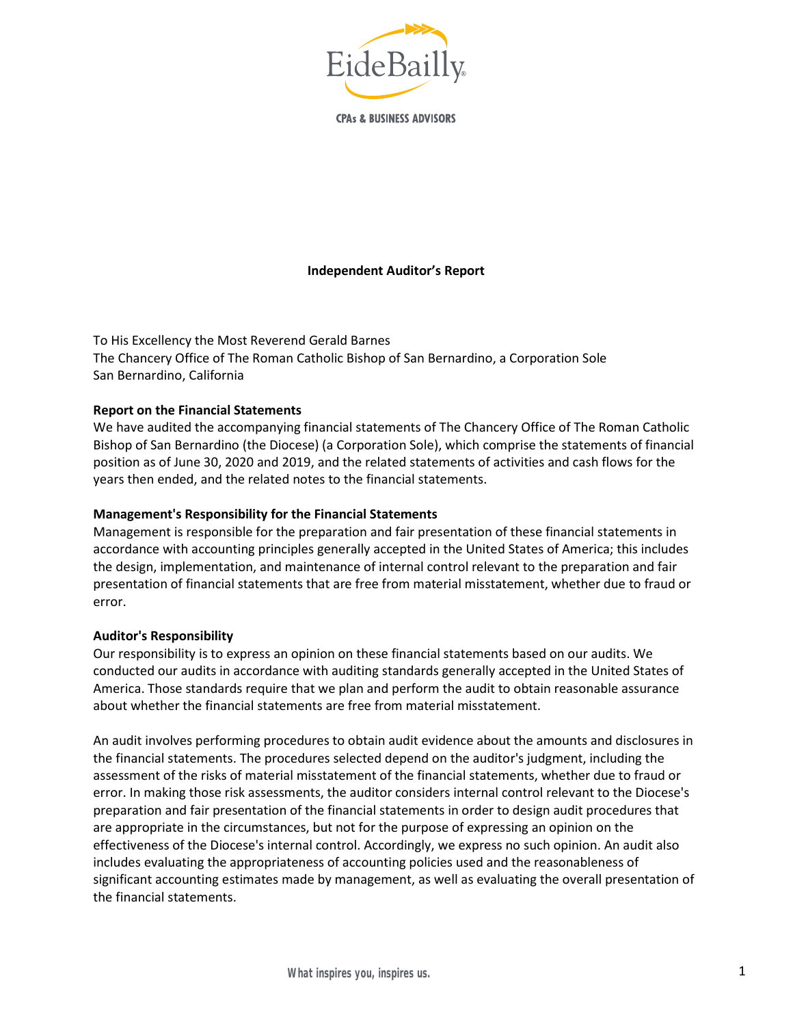# Independent Auditor's Report

To His Excellency the Most Reverend Gerald Barnes The Chancery Office of The Roman Catholic Bishop of San Bernardino, a Corporation Sole San Bernardino, California

#### Report on the Financial Statements

We have audited the accompanying financial statements of The Chancery Office of The Roman Catholic Bishop of San Bernardino (the Diocese) (a Corporation Sole), which comprise the statements of financial position as of June 30, 2020 and 2019, and the related statements of activities and cash flows for the years then ended, and the related notes to the financial statements.

#### Management's Responsibility for the Financial Statements

Management is responsible for the preparation and fair presentation of these financial statements in accordance with accounting principles generally accepted in the United States of America; this includes the design, implementation, and maintenance of internal control relevant to the preparation and fair presentation of financial statements that are free from material misstatement, whether due to fraud or error.

#### Auditor's Responsibility

Our responsibility is to express an opinion on these financial statements based on our audits. We conducted our audits in accordance with auditing standards generally accepted in the United States of America. Those standards require that we plan and perform the audit to obtain reasonable assurance about whether the financial statements are free from material misstatement.

An audit involves performing procedures to obtain audit evidence about the amounts and disclosures in the financial statements. The procedures selected depend on the auditor's judgment, including the assessment of the risks of material misstatement of the financial statements, whether due to fraud or error. In making those risk assessments, the auditor considers internal control relevant to the Diocese's preparation and fair presentation of the financial statements in order to design audit procedures that are appropriate in the circumstances, but not for the purpose of expressing an opinion on the effectiveness of the Diocese's internal control. Accordingly, we express no such opinion. An audit also includes evaluating the appropriateness of accounting policies used and the reasonableness of significant accounting estimates made by management, as well as evaluating the overall presentation of the financial statements.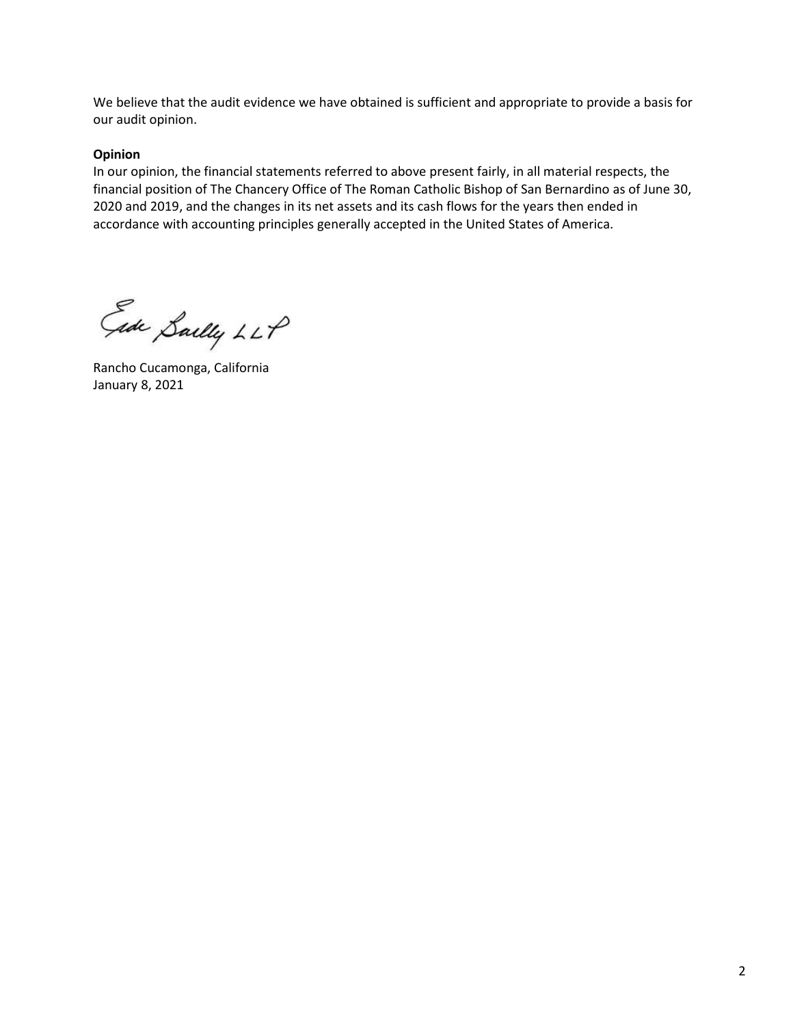We believe that the audit evidence we have obtained is sufficient and appropriate to provide a basis for our audit opinion.

#### Opinion

In our opinion, the financial statements referred to above present fairly, in all material respects, the financial position of The Chancery Office of The Roman Catholic Bishop of San Bernardino as of June 30, 2020 and 2019, and the changes in its net assets and its cash flows for the years then ended in accordance with accounting principles generally accepted in the United States of America.

Ede Sailly LLP

Rancho Cucamonga, California January 8, 2021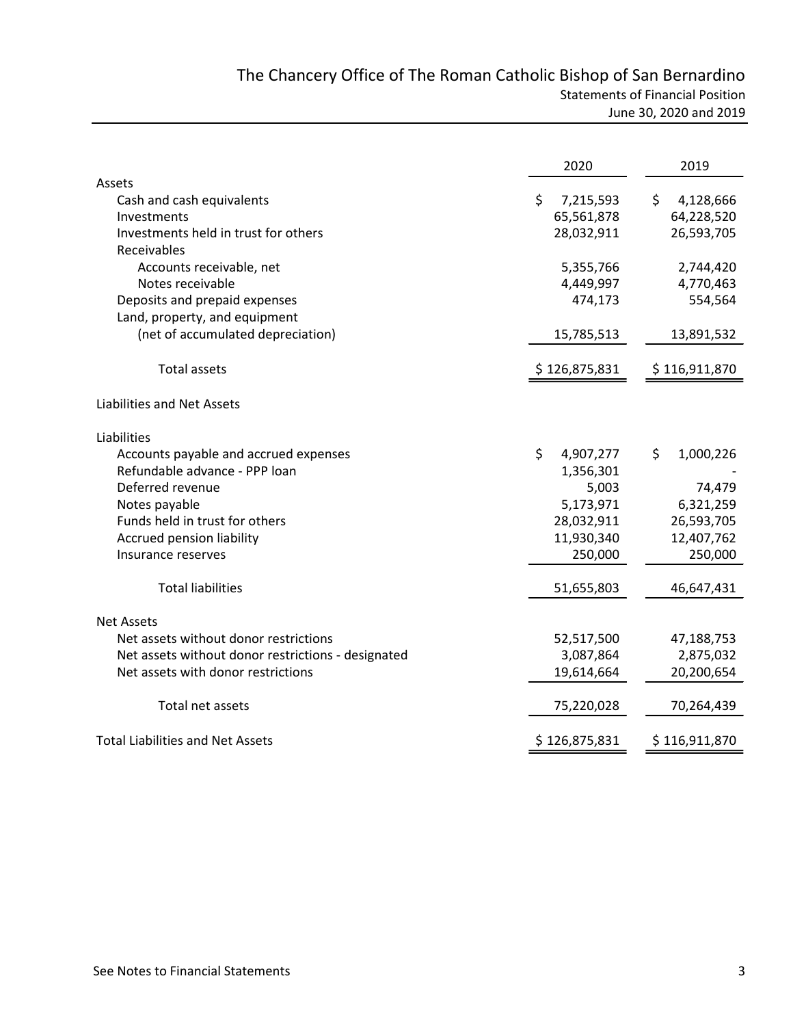|                                                     | 2020            | 2019            |
|-----------------------------------------------------|-----------------|-----------------|
| Assets                                              |                 |                 |
| Cash and cash equivalents                           | Ś.<br>7,215,593 | 4,128,666<br>S. |
| Investments                                         | 65,561,878      | 64,228,520      |
| Investments held in trust for others<br>Receivables | 28,032,911      | 26,593,705      |
| Accounts receivable, net                            | 5,355,766       | 2,744,420       |
| Notes receivable                                    | 4,449,997       | 4,770,463       |
| Deposits and prepaid expenses                       | 474,173         | 554,564         |
| Land, property, and equipment                       |                 |                 |
| (net of accumulated depreciation)                   | 15,785,513      | 13,891,532      |
| Total assets                                        | \$126,875,831   | \$116,911,870   |
| Liabilities and Net Assets                          |                 |                 |
| Liabilities                                         |                 |                 |
| Accounts payable and accrued expenses               | \$<br>4,907,277 | \$<br>1,000,226 |
| Refundable advance - PPP loan                       | 1,356,301       |                 |
| Deferred revenue                                    | 5,003           | 74,479          |
| Notes payable                                       | 5,173,971       | 6,321,259       |
| Funds held in trust for others                      | 28,032,911      | 26,593,705      |
| Accrued pension liability                           | 11,930,340      | 12,407,762      |
| Insurance reserves                                  | 250,000         | 250,000         |
| <b>Total liabilities</b>                            | 51,655,803      | 46,647,431      |
| <b>Net Assets</b>                                   |                 |                 |
| Net assets without donor restrictions               | 52,517,500      | 47,188,753      |
| Net assets without donor restrictions - designated  | 3,087,864       | 2,875,032       |
| Net assets with donor restrictions                  | 19,614,664      | 20,200,654      |
| Total net assets                                    | 75,220,028      | 70,264,439      |
| <b>Total Liabilities and Net Assets</b>             | \$126,875,831   | \$116,911,870   |
|                                                     |                 |                 |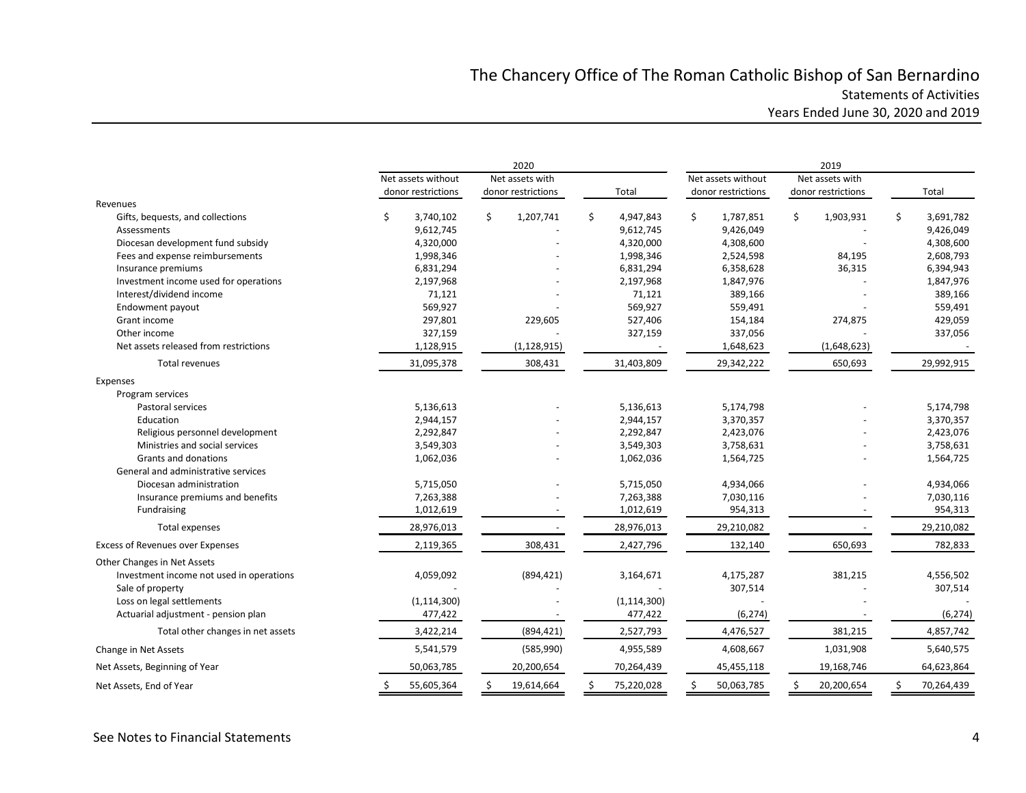# The Chancery Office of The Roman Catholic Bishop of San Bernardino Statements of Activities Years Ended June 30, 2020 and 2019

|                                          | 2020                                  |                    |                    | 2019               |                    |                  |  |  |  |
|------------------------------------------|---------------------------------------|--------------------|--------------------|--------------------|--------------------|------------------|--|--|--|
|                                          | Net assets without<br>Net assets with |                    | Net assets without |                    |                    |                  |  |  |  |
|                                          | donor restrictions                    | donor restrictions | Total              | donor restrictions | donor restrictions | Total            |  |  |  |
| Revenues                                 |                                       |                    |                    |                    |                    |                  |  |  |  |
| Gifts, bequests, and collections         | 3,740,102<br>Ś                        | Ś.<br>1,207,741    | Ś.<br>4,947,843    | Ŝ.<br>1,787,851    | Ś.<br>1,903,931    | Ś.<br>3,691,782  |  |  |  |
| Assessments                              | 9,612,745                             |                    | 9,612,745          | 9,426,049          |                    | 9,426,049        |  |  |  |
| Diocesan development fund subsidy        | 4,320,000                             |                    | 4,320,000          | 4,308,600          |                    | 4,308,600        |  |  |  |
| Fees and expense reimbursements          | 1,998,346                             |                    | 1,998,346          | 2,524,598          | 84,195             | 2,608,793        |  |  |  |
| Insurance premiums                       | 6,831,294                             |                    | 6,831,294          | 6,358,628          | 36,315             | 6,394,943        |  |  |  |
| Investment income used for operations    | 2,197,968                             |                    | 2,197,968          | 1,847,976          |                    | 1,847,976        |  |  |  |
| Interest/dividend income                 | 71,121                                |                    | 71,121             | 389,166            |                    | 389,166          |  |  |  |
| Endowment payout                         | 569,927                               |                    | 569,927            | 559,491            |                    | 559,491          |  |  |  |
| Grant income                             | 297,801                               | 229,605            | 527,406            | 154,184            | 274,875            | 429,059          |  |  |  |
| Other income                             | 327,159                               |                    | 327,159            | 337,056            |                    | 337,056          |  |  |  |
| Net assets released from restrictions    | 1,128,915                             | (1, 128, 915)      |                    | 1,648,623          | (1,648,623)        |                  |  |  |  |
| Total revenues                           | 31,095,378                            | 308,431            | 31,403,809         | 29,342,222         | 650,693            | 29,992,915       |  |  |  |
| Expenses                                 |                                       |                    |                    |                    |                    |                  |  |  |  |
| Program services                         |                                       |                    |                    |                    |                    |                  |  |  |  |
| Pastoral services                        | 5,136,613                             |                    | 5,136,613          | 5,174,798          |                    | 5,174,798        |  |  |  |
| Education                                | 2,944,157                             |                    | 2,944,157          | 3,370,357          |                    | 3,370,357        |  |  |  |
| Religious personnel development          | 2,292,847                             |                    | 2,292,847          | 2,423,076          |                    | 2,423,076        |  |  |  |
| Ministries and social services           | 3,549,303                             |                    | 3,549,303          | 3,758,631          |                    | 3,758,631        |  |  |  |
| Grants and donations                     | 1,062,036                             |                    | 1,062,036          | 1,564,725          |                    | 1,564,725        |  |  |  |
| General and administrative services      |                                       |                    |                    |                    |                    |                  |  |  |  |
| Diocesan administration                  | 5,715,050                             |                    | 5,715,050          | 4,934,066          |                    | 4,934,066        |  |  |  |
| Insurance premiums and benefits          | 7,263,388                             |                    | 7,263,388          | 7,030,116          |                    | 7,030,116        |  |  |  |
| Fundraising                              | 1,012,619                             |                    | 1,012,619          | 954,313            |                    | 954,313          |  |  |  |
| Total expenses                           | 28,976,013                            |                    | 28,976,013         | 29,210,082         |                    | 29,210,082       |  |  |  |
| <b>Excess of Revenues over Expenses</b>  | 2,119,365                             | 308,431            | 2,427,796          | 132,140            | 650,693            | 782,833          |  |  |  |
| Other Changes in Net Assets              |                                       |                    |                    |                    |                    |                  |  |  |  |
| Investment income not used in operations | 4,059,092                             | (894, 421)         | 3,164,671          | 4,175,287          | 381,215            | 4,556,502        |  |  |  |
| Sale of property                         |                                       |                    |                    | 307,514            |                    | 307,514          |  |  |  |
| Loss on legal settlements                | (1, 114, 300)                         |                    | (1, 114, 300)      |                    |                    |                  |  |  |  |
| Actuarial adjustment - pension plan      | 477,422                               |                    | 477,422            | (6, 274)           |                    | (6, 274)         |  |  |  |
| Total other changes in net assets        | 3,422,214                             | (894, 421)         | 2,527,793          | 4,476,527          | 381,215            | 4,857,742        |  |  |  |
| Change in Net Assets                     | 5,541,579                             | (585,990)          | 4,955,589          | 4,608,667          | 1,031,908          | 5,640,575        |  |  |  |
| Net Assets, Beginning of Year            | 50,063,785                            | 20,200,654         | 70,264,439         | 45,455,118         | 19,168,746         | 64,623,864       |  |  |  |
| Net Assets, End of Year                  | 55,605,364                            | 19,614,664         | 75,220,028         | 50,063,785         | 20,200,654         | 70,264,439<br>Ŝ. |  |  |  |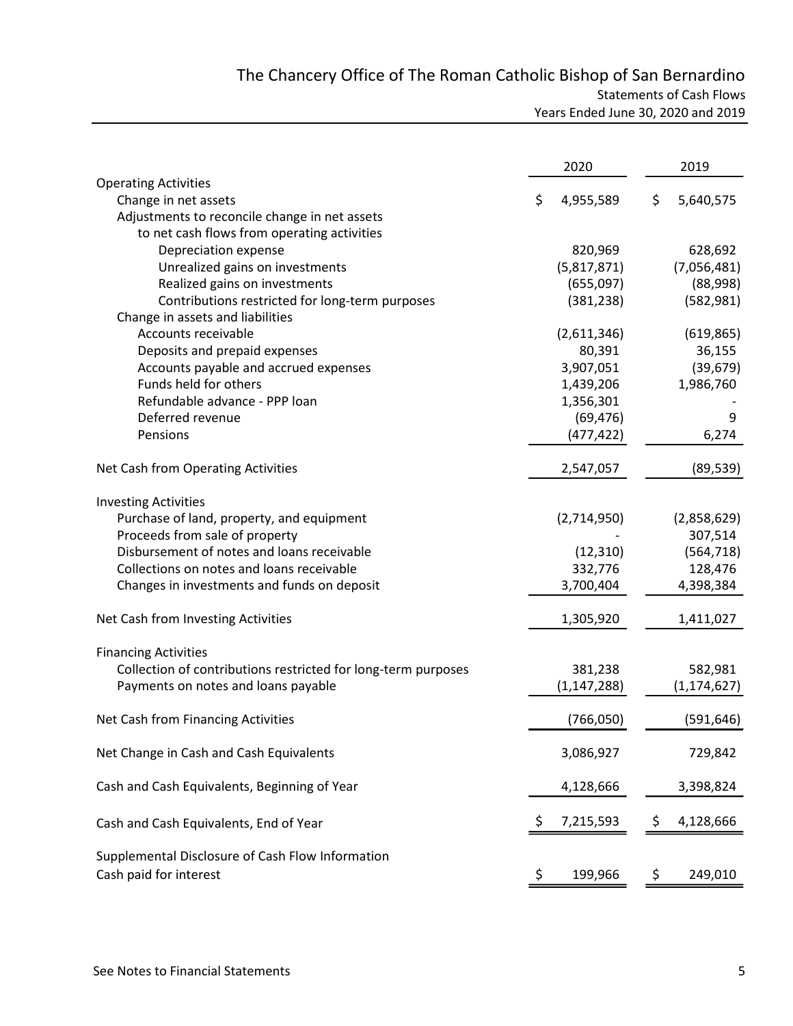# The Chancery Office of The Roman Catholic Bishop of San Bernardino Statements of Cash Flows

| Years Ended June 30, 2020 and 2019 |
|------------------------------------|
|                                    |

|                                                                            |                     | 2020          |    | 2019          |
|----------------------------------------------------------------------------|---------------------|---------------|----|---------------|
| <b>Operating Activities</b>                                                |                     |               |    |               |
| Change in net assets                                                       | \$                  | 4,955,589     | \$ | 5,640,575     |
| Adjustments to reconcile change in net assets                              |                     |               |    |               |
| to net cash flows from operating activities                                |                     |               |    |               |
| Depreciation expense                                                       |                     | 820,969       |    | 628,692       |
| Unrealized gains on investments                                            |                     | (5,817,871)   |    | (7,056,481)   |
| Realized gains on investments                                              |                     | (655,097)     |    | (88,998)      |
| Contributions restricted for long-term purposes                            |                     | (381, 238)    |    | (582, 981)    |
| Change in assets and liabilities                                           |                     |               |    |               |
| Accounts receivable                                                        |                     | (2,611,346)   |    | (619, 865)    |
| Deposits and prepaid expenses                                              |                     | 80,391        |    | 36,155        |
| Accounts payable and accrued expenses                                      |                     | 3,907,051     |    | (39, 679)     |
| Funds held for others                                                      |                     | 1,439,206     |    | 1,986,760     |
| Refundable advance - PPP loan                                              |                     | 1,356,301     |    |               |
| Deferred revenue                                                           |                     | (69, 476)     |    | 9             |
| Pensions                                                                   |                     | (477, 422)    |    | 6,274         |
| Net Cash from Operating Activities                                         |                     | 2,547,057     |    | (89, 539)     |
| <b>Investing Activities</b>                                                |                     |               |    |               |
| Purchase of land, property, and equipment                                  |                     | (2,714,950)   |    | (2,858,629)   |
| Proceeds from sale of property                                             |                     |               |    | 307,514       |
| Disbursement of notes and loans receivable                                 |                     | (12, 310)     |    | (564, 718)    |
| Collections on notes and loans receivable                                  |                     | 332,776       |    | 128,476       |
| Changes in investments and funds on deposit                                |                     | 3,700,404     |    | 4,398,384     |
| Net Cash from Investing Activities                                         |                     | 1,305,920     |    | 1,411,027     |
| <b>Financing Activities</b>                                                |                     |               |    |               |
| Collection of contributions restricted for long-term purposes              |                     | 381,238       |    | 582,981       |
| Payments on notes and loans payable                                        |                     | (1, 147, 288) |    | (1, 174, 627) |
| Net Cash from Financing Activities                                         |                     | (766, 050)    |    | (591, 646)    |
| Net Change in Cash and Cash Equivalents                                    |                     | 3,086,927     |    | 729,842       |
| Cash and Cash Equivalents, Beginning of Year                               |                     | 4,128,666     |    | 3,398,824     |
| Cash and Cash Equivalents, End of Year                                     | S                   | 7,215,593     | Ş  | 4,128,666     |
|                                                                            |                     |               |    |               |
| Supplemental Disclosure of Cash Flow Information<br>Cash paid for interest | $\ddot{\bm{\zeta}}$ | 199,966       | Ş  | 249,010       |
|                                                                            |                     |               |    |               |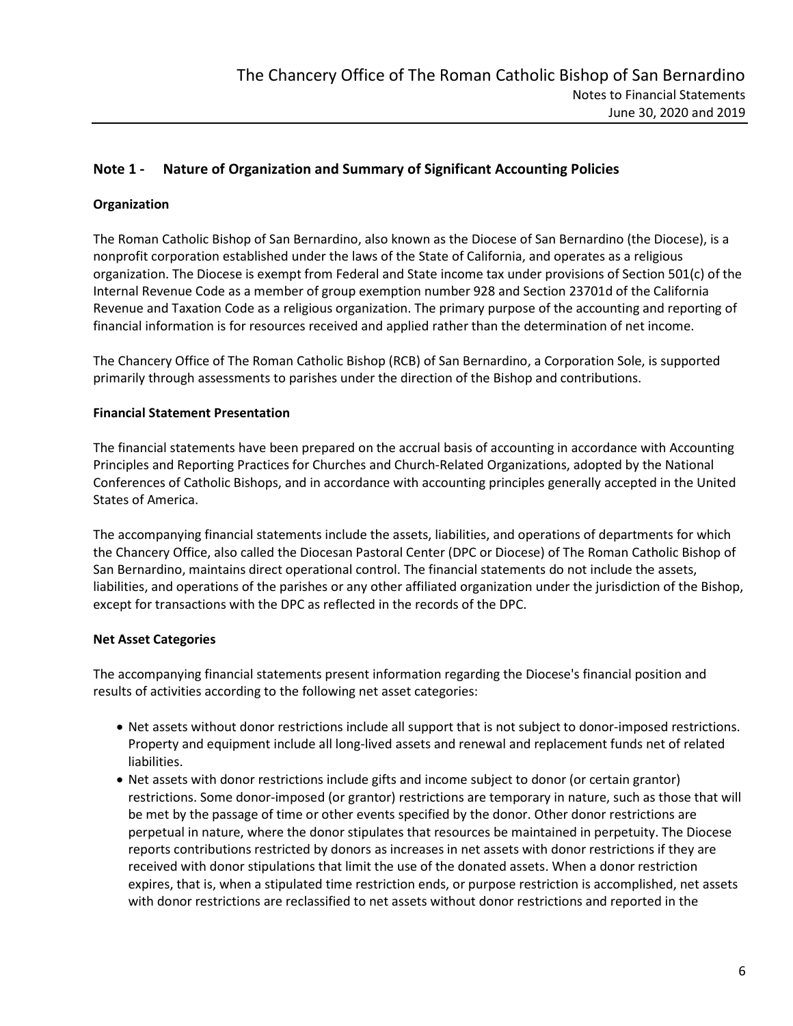# Note 1 - Nature of Organization and Summary of Significant Accounting Policies

# Organization

The Roman Catholic Bishop of San Bernardino, also known as the Diocese of San Bernardino (the Diocese), is a nonprofit corporation established under the laws of the State of California, and operates as a religious organization. The Diocese is exempt from Federal and State income tax under provisions of Section 501(c) of the Internal Revenue Code as a member of group exemption number 928 and Section 23701d of the California Revenue and Taxation Code as a religious organization. The primary purpose of the accounting and reporting of financial information is for resources received and applied rather than the determination of net income.

The Chancery Office of The Roman Catholic Bishop (RCB) of San Bernardino, a Corporation Sole, is supported primarily through assessments to parishes under the direction of the Bishop and contributions.

#### Financial Statement Presentation

The financial statements have been prepared on the accrual basis of accounting in accordance with Accounting Principles and Reporting Practices for Churches and Church-Related Organizations, adopted by the National Conferences of Catholic Bishops, and in accordance with accounting principles generally accepted in the United States of America.

The accompanying financial statements include the assets, liabilities, and operations of departments for which the Chancery Office, also called the Diocesan Pastoral Center (DPC or Diocese) of The Roman Catholic Bishop of San Bernardino, maintains direct operational control. The financial statements do not include the assets, liabilities, and operations of the parishes or any other affiliated organization under the jurisdiction of the Bishop, except for transactions with the DPC as reflected in the records of the DPC.

#### Net Asset Categories

The accompanying financial statements present information regarding the Diocese's financial position and results of activities according to the following net asset categories:

- Net assets without donor restrictions include all support that is not subject to donor-imposed restrictions. Property and equipment include all long-lived assets and renewal and replacement funds net of related liabilities.
- Net assets with donor restrictions include gifts and income subject to donor (or certain grantor) restrictions. Some donor-imposed (or grantor) restrictions are temporary in nature, such as those that will be met by the passage of time or other events specified by the donor. Other donor restrictions are perpetual in nature, where the donor stipulates that resources be maintained in perpetuity. The Diocese reports contributions restricted by donors as increases in net assets with donor restrictions if they are received with donor stipulations that limit the use of the donated assets. When a donor restriction expires, that is, when a stipulated time restriction ends, or purpose restriction is accomplished, net assets with donor restrictions are reclassified to net assets without donor restrictions and reported in the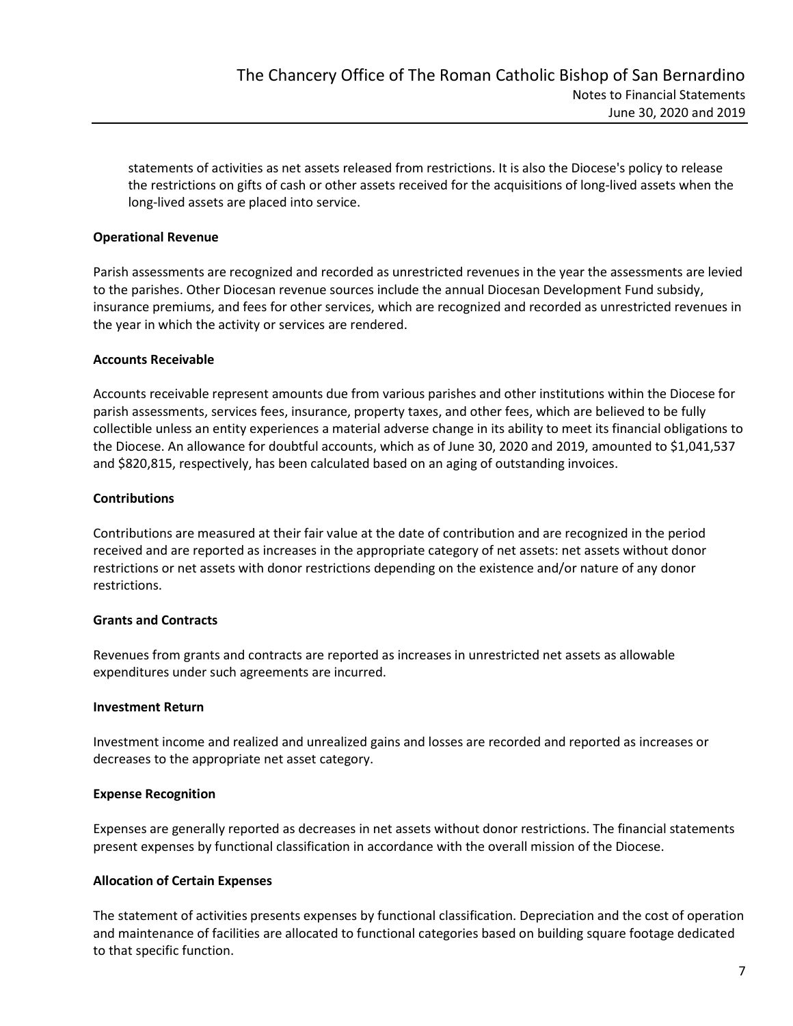statements of activities as net assets released from restrictions. It is also the Diocese's policy to release the restrictions on gifts of cash or other assets received for the acquisitions of long-lived assets when the long-lived assets are placed into service.

#### Operational Revenue

Parish assessments are recognized and recorded as unrestricted revenues in the year the assessments are levied to the parishes. Other Diocesan revenue sources include the annual Diocesan Development Fund subsidy, insurance premiums, and fees for other services, which are recognized and recorded as unrestricted revenues in the year in which the activity or services are rendered.

# Accounts Receivable

Accounts receivable represent amounts due from various parishes and other institutions within the Diocese for parish assessments, services fees, insurance, property taxes, and other fees, which are believed to be fully collectible unless an entity experiences a material adverse change in its ability to meet its financial obligations to the Diocese. An allowance for doubtful accounts, which as of June 30, 2020 and 2019, amounted to \$1,041,537 and \$820,815, respectively, has been calculated based on an aging of outstanding invoices.

# **Contributions**

Contributions are measured at their fair value at the date of contribution and are recognized in the period received and are reported as increases in the appropriate category of net assets: net assets without donor restrictions or net assets with donor restrictions depending on the existence and/or nature of any donor restrictions.

#### Grants and Contracts

Revenues from grants and contracts are reported as increases in unrestricted net assets as allowable expenditures under such agreements are incurred.

#### Investment Return

Investment income and realized and unrealized gains and losses are recorded and reported as increases or decreases to the appropriate net asset category.

# Expense Recognition

Expenses are generally reported as decreases in net assets without donor restrictions. The financial statements present expenses by functional classification in accordance with the overall mission of the Diocese.

#### Allocation of Certain Expenses

The statement of activities presents expenses by functional classification. Depreciation and the cost of operation and maintenance of facilities are allocated to functional categories based on building square footage dedicated to that specific function.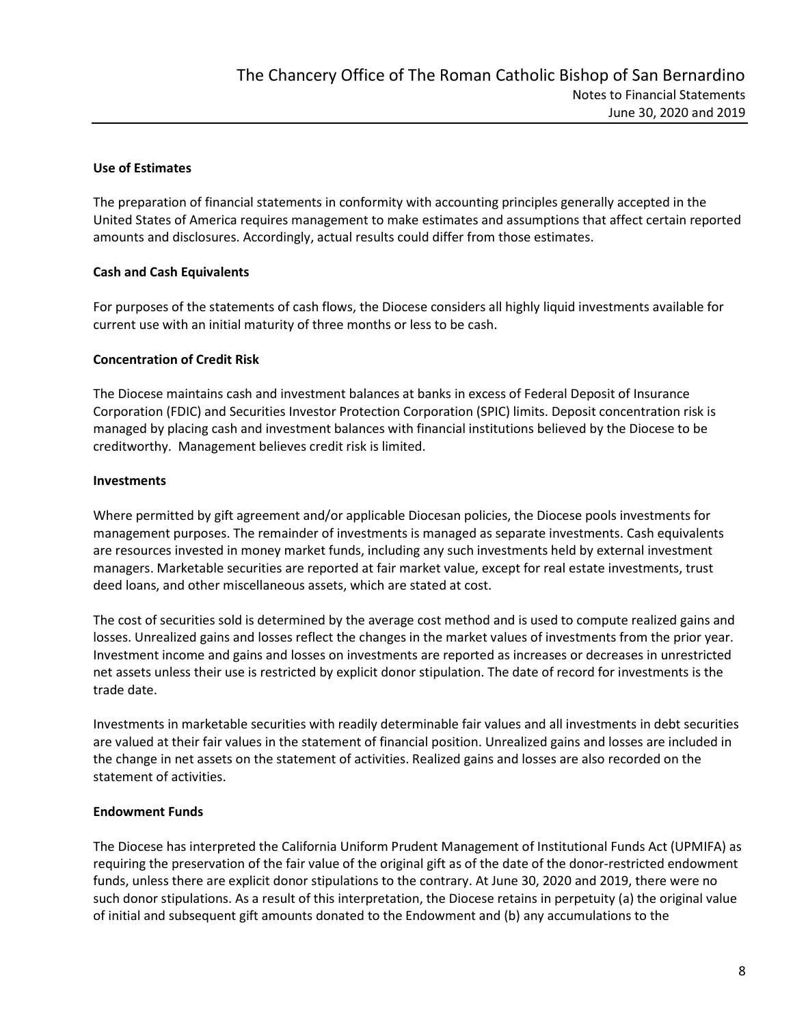# Use of Estimates

The preparation of financial statements in conformity with accounting principles generally accepted in the United States of America requires management to make estimates and assumptions that affect certain reported amounts and disclosures. Accordingly, actual results could differ from those estimates.

# Cash and Cash Equivalents

For purposes of the statements of cash flows, the Diocese considers all highly liquid investments available for current use with an initial maturity of three months or less to be cash.

# Concentration of Credit Risk

The Diocese maintains cash and investment balances at banks in excess of Federal Deposit of Insurance Corporation (FDIC) and Securities Investor Protection Corporation (SPIC) limits. Deposit concentration risk is managed by placing cash and investment balances with financial institutions believed by the Diocese to be creditworthy. Management believes credit risk is limited.

# **Investments**

Where permitted by gift agreement and/or applicable Diocesan policies, the Diocese pools investments for management purposes. The remainder of investments is managed as separate investments. Cash equivalents are resources invested in money market funds, including any such investments held by external investment managers. Marketable securities are reported at fair market value, except for real estate investments, trust deed loans, and other miscellaneous assets, which are stated at cost.

The cost of securities sold is determined by the average cost method and is used to compute realized gains and losses. Unrealized gains and losses reflect the changes in the market values of investments from the prior year. Investment income and gains and losses on investments are reported as increases or decreases in unrestricted net assets unless their use is restricted by explicit donor stipulation. The date of record for investments is the trade date.

Investments in marketable securities with readily determinable fair values and all investments in debt securities are valued at their fair values in the statement of financial position. Unrealized gains and losses are included in the change in net assets on the statement of activities. Realized gains and losses are also recorded on the statement of activities.

# Endowment Funds

The Diocese has interpreted the California Uniform Prudent Management of Institutional Funds Act (UPMIFA) as requiring the preservation of the fair value of the original gift as of the date of the donor-restricted endowment funds, unless there are explicit donor stipulations to the contrary. At June 30, 2020 and 2019, there were no such donor stipulations. As a result of this interpretation, the Diocese retains in perpetuity (a) the original value of initial and subsequent gift amounts donated to the Endowment and (b) any accumulations to the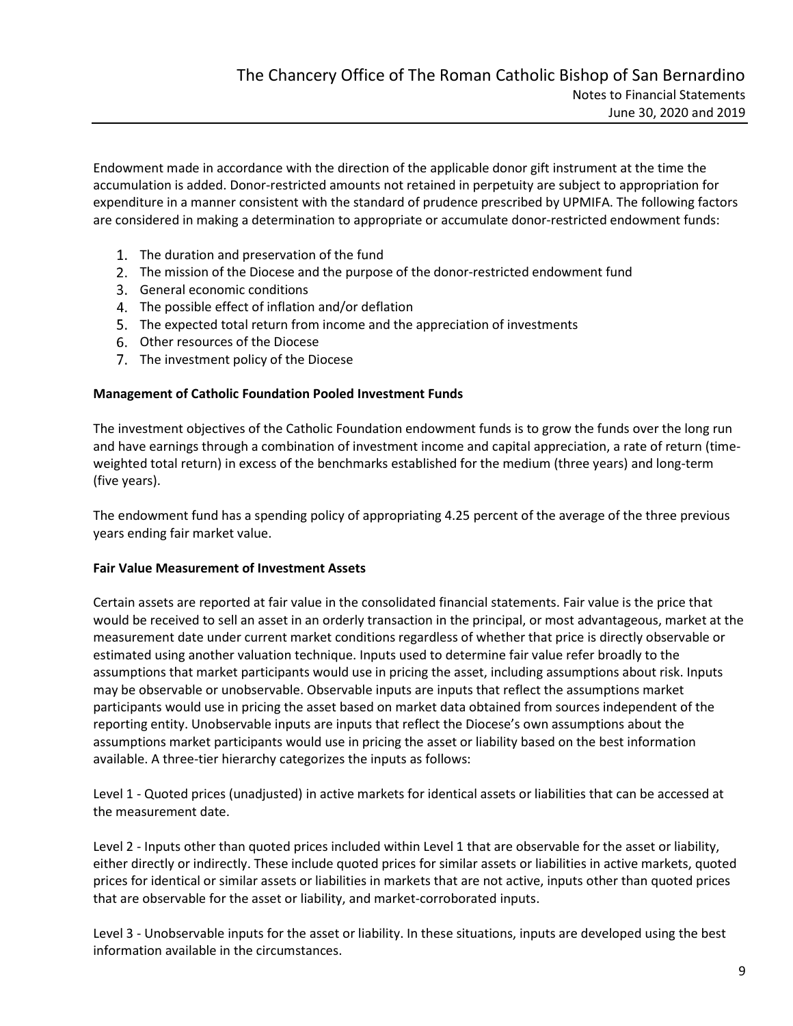Endowment made in accordance with the direction of the applicable donor gift instrument at the time the accumulation is added. Donor-restricted amounts not retained in perpetuity are subject to appropriation for expenditure in a manner consistent with the standard of prudence prescribed by UPMIFA. The following factors are considered in making a determination to appropriate or accumulate donor-restricted endowment funds:

- 1. The duration and preservation of the fund
- The mission of the Diocese and the purpose of the donor-restricted endowment fund
- 3. General economic conditions
- 4. The possible effect of inflation and/or deflation
- The expected total return from income and the appreciation of investments
- 6. Other resources of the Diocese
- 7. The investment policy of the Diocese

#### Management of Catholic Foundation Pooled Investment Funds

The investment objectives of the Catholic Foundation endowment funds is to grow the funds over the long run and have earnings through a combination of investment income and capital appreciation, a rate of return (timeweighted total return) in excess of the benchmarks established for the medium (three years) and long-term (five years).

The endowment fund has a spending policy of appropriating 4.25 percent of the average of the three previous years ending fair market value.

#### Fair Value Measurement of Investment Assets

Certain assets are reported at fair value in the consolidated financial statements. Fair value is the price that would be received to sell an asset in an orderly transaction in the principal, or most advantageous, market at the measurement date under current market conditions regardless of whether that price is directly observable or estimated using another valuation technique. Inputs used to determine fair value refer broadly to the assumptions that market participants would use in pricing the asset, including assumptions about risk. Inputs may be observable or unobservable. Observable inputs are inputs that reflect the assumptions market participants would use in pricing the asset based on market data obtained from sources independent of the reporting entity. Unobservable inputs are inputs that reflect the Diocese's own assumptions about the assumptions market participants would use in pricing the asset or liability based on the best information available. A three-tier hierarchy categorizes the inputs as follows:

Level 1 - Quoted prices (unadjusted) in active markets for identical assets or liabilities that can be accessed at the measurement date.

Level 2 - Inputs other than quoted prices included within Level 1 that are observable for the asset or liability, either directly or indirectly. These include quoted prices for similar assets or liabilities in active markets, quoted prices for identical or similar assets or liabilities in markets that are not active, inputs other than quoted prices that are observable for the asset or liability, and market-corroborated inputs.

Level 3 - Unobservable inputs for the asset or liability. In these situations, inputs are developed using the best information available in the circumstances.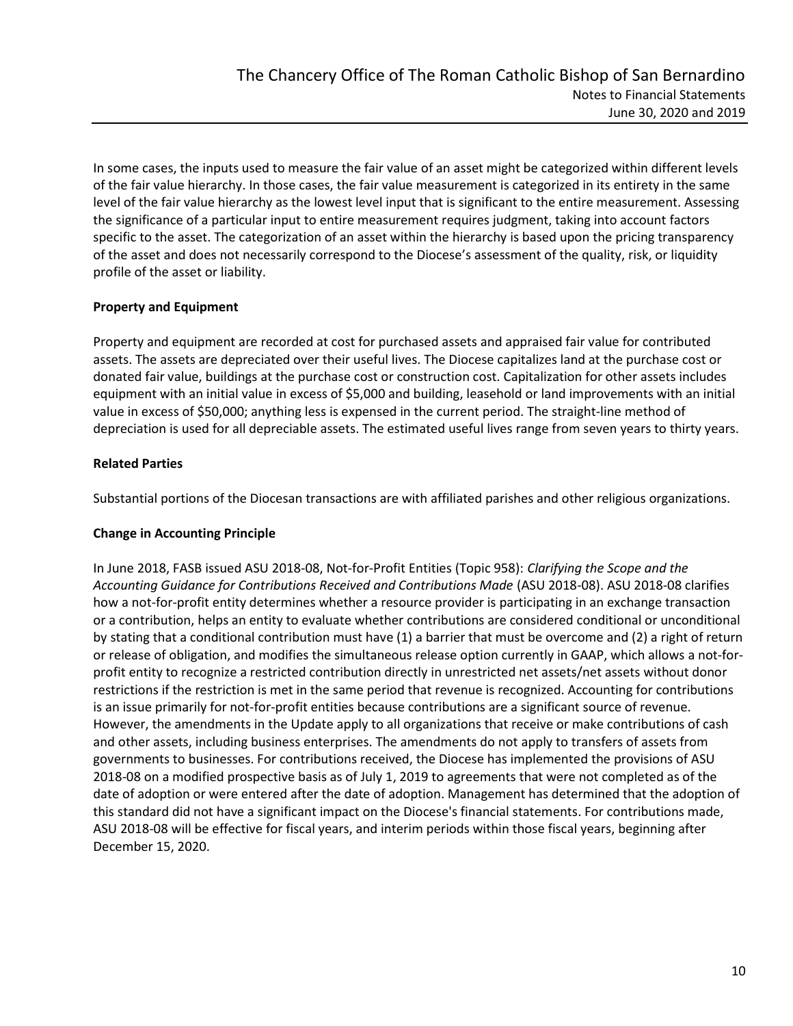In some cases, the inputs used to measure the fair value of an asset might be categorized within different levels of the fair value hierarchy. In those cases, the fair value measurement is categorized in its entirety in the same level of the fair value hierarchy as the lowest level input that is significant to the entire measurement. Assessing the significance of a particular input to entire measurement requires judgment, taking into account factors specific to the asset. The categorization of an asset within the hierarchy is based upon the pricing transparency of the asset and does not necessarily correspond to the Diocese's assessment of the quality, risk, or liquidity profile of the asset or liability.

# Property and Equipment

Property and equipment are recorded at cost for purchased assets and appraised fair value for contributed assets. The assets are depreciated over their useful lives. The Diocese capitalizes land at the purchase cost or donated fair value, buildings at the purchase cost or construction cost. Capitalization for other assets includes equipment with an initial value in excess of \$5,000 and building, leasehold or land improvements with an initial value in excess of \$50,000; anything less is expensed in the current period. The straight-line method of depreciation is used for all depreciable assets. The estimated useful lives range from seven years to thirty years.

# Related Parties

Substantial portions of the Diocesan transactions are with affiliated parishes and other religious organizations.

#### Change in Accounting Principle

In June 2018, FASB issued ASU 2018-08, Not-for-Profit Entities (Topic 958): Clarifying the Scope and the Accounting Guidance for Contributions Received and Contributions Made (ASU 2018-08). ASU 2018-08 clarifies how a not-for-profit entity determines whether a resource provider is participating in an exchange transaction or a contribution, helps an entity to evaluate whether contributions are considered conditional or unconditional by stating that a conditional contribution must have (1) a barrier that must be overcome and (2) a right of return or release of obligation, and modifies the simultaneous release option currently in GAAP, which allows a not-forprofit entity to recognize a restricted contribution directly in unrestricted net assets/net assets without donor restrictions if the restriction is met in the same period that revenue is recognized. Accounting for contributions is an issue primarily for not-for-profit entities because contributions are a significant source of revenue. However, the amendments in the Update apply to all organizations that receive or make contributions of cash and other assets, including business enterprises. The amendments do not apply to transfers of assets from governments to businesses. For contributions received, the Diocese has implemented the provisions of ASU 2018-08 on a modified prospective basis as of July 1, 2019 to agreements that were not completed as of the date of adoption or were entered after the date of adoption. Management has determined that the adoption of this standard did not have a significant impact on the Diocese's financial statements. For contributions made, ASU 2018-08 will be effective for fiscal years, and interim periods within those fiscal years, beginning after December 15, 2020.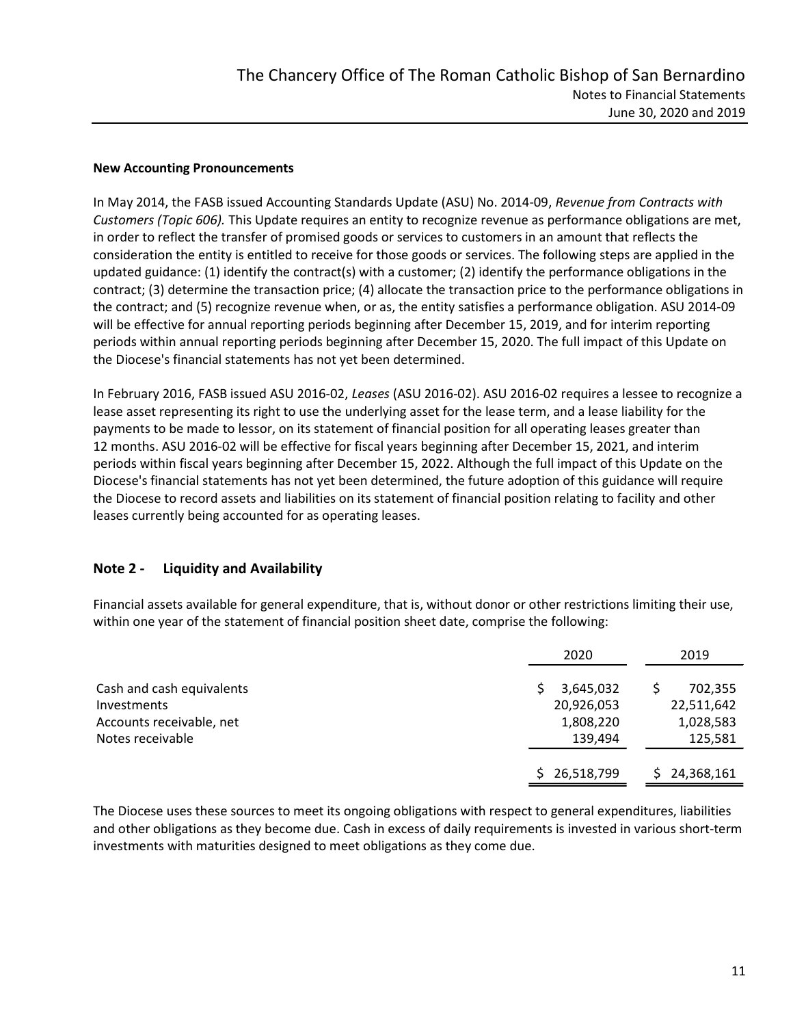#### New Accounting Pronouncements

In May 2014, the FASB issued Accounting Standards Update (ASU) No. 2014-09, Revenue from Contracts with Customers (Topic 606). This Update requires an entity to recognize revenue as performance obligations are met, in order to reflect the transfer of promised goods or services to customers in an amount that reflects the consideration the entity is entitled to receive for those goods or services. The following steps are applied in the updated guidance: (1) identify the contract(s) with a customer; (2) identify the performance obligations in the contract; (3) determine the transaction price; (4) allocate the transaction price to the performance obligations in the contract; and (5) recognize revenue when, or as, the entity satisfies a performance obligation. ASU 2014-09 will be effective for annual reporting periods beginning after December 15, 2019, and for interim reporting periods within annual reporting periods beginning after December 15, 2020. The full impact of this Update on the Diocese's financial statements has not yet been determined.

In February 2016, FASB issued ASU 2016-02, Leases (ASU 2016-02). ASU 2016-02 requires a lessee to recognize a lease asset representing its right to use the underlying asset for the lease term, and a lease liability for the payments to be made to lessor, on its statement of financial position for all operating leases greater than 12 months. ASU 2016-02 will be effective for fiscal years beginning after December 15, 2021, and interim periods within fiscal years beginning after December 15, 2022. Although the full impact of this Update on the Diocese's financial statements has not yet been determined, the future adoption of this guidance will require the Diocese to record assets and liabilities on its statement of financial position relating to facility and other leases currently being accounted for as operating leases.

# Note 2 - Liquidity and Availability

Financial assets available for general expenditure, that is, without donor or other restrictions limiting their use, within one year of the statement of financial position sheet date, comprise the following:

|                           | 2020             | 2019       |
|---------------------------|------------------|------------|
| Cash and cash equivalents | 3,645,032        | 702,355    |
| Investments               | 20,926,053       | 22,511,642 |
| Accounts receivable, net  | 1,808,220        | 1,028,583  |
| Notes receivable          | 139,494          | 125,581    |
|                           | 26,518,799<br>ς. | 24,368,161 |

The Diocese uses these sources to meet its ongoing obligations with respect to general expenditures, liabilities and other obligations as they become due. Cash in excess of daily requirements is invested in various short-term investments with maturities designed to meet obligations as they come due.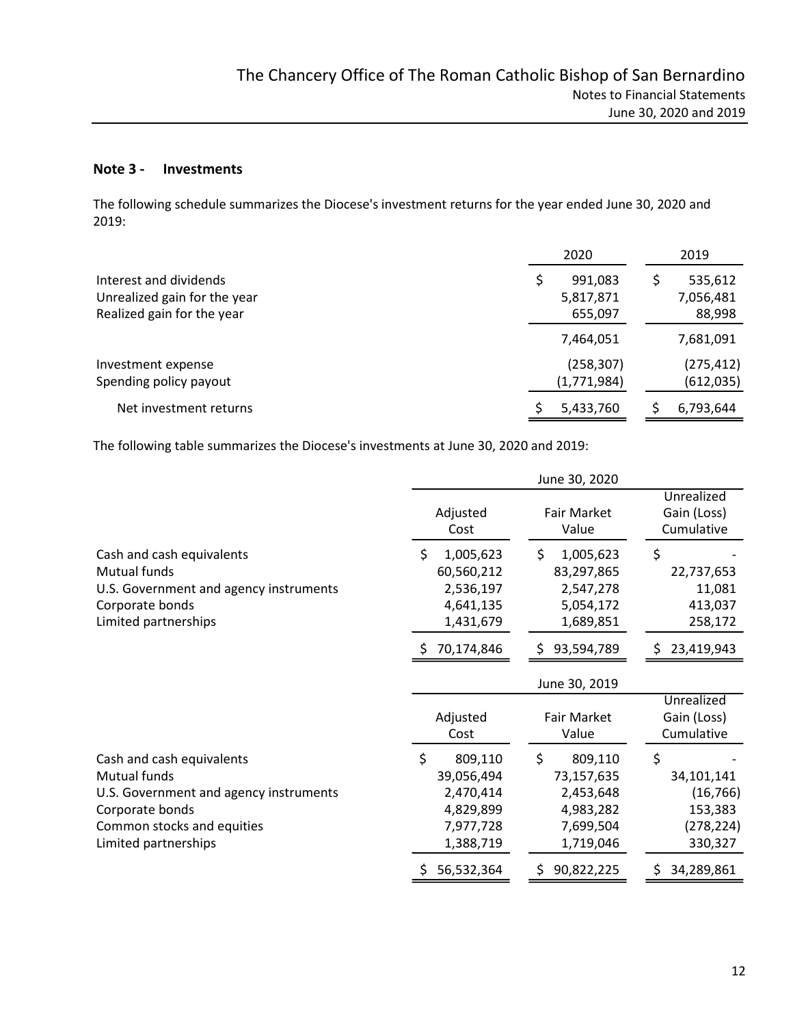#### Note 3 - Investments

The following schedule summarizes the Diocese's investment returns for the year ended June 30, 2020 and 2019:

|                              | 2020        | 2019       |
|------------------------------|-------------|------------|
| Interest and dividends       | 991,083     | 535,612    |
| Unrealized gain for the year | 5,817,871   | 7,056,481  |
| Realized gain for the year   | 655,097     | 88,998     |
|                              | 7,464,051   | 7,681,091  |
| Investment expense           | (258, 307)  | (275, 412) |
| Spending policy payout       | (1,771,984) | (612, 035) |
| Net investment returns       | 5,433,760   | 6,793,644  |

The following table summarizes the Diocese's investments at June 30, 2020 and 2019:

|                                        |                  | June 30, 2020        |                                         |  |  |  |
|----------------------------------------|------------------|----------------------|-----------------------------------------|--|--|--|
|                                        | Adjusted<br>Cost | Fair Market<br>Value | Unrealized<br>Gain (Loss)<br>Cumulative |  |  |  |
| Cash and cash equivalents              | 1,005,623<br>S   | Ś.<br>1,005,623      | \$                                      |  |  |  |
| Mutual funds                           | 60,560,212       | 83,297,865           | 22,737,653                              |  |  |  |
| U.S. Government and agency instruments | 2,536,197        | 2,547,278            | 11,081                                  |  |  |  |
| Corporate bonds                        | 4,641,135        | 5,054,172            | 413,037                                 |  |  |  |
| Limited partnerships                   | 1,431,679        | 1,689,851            | 258,172                                 |  |  |  |
|                                        | 70,174,846       | 93,594,789<br>S.     |                                         |  |  |  |
|                                        |                  | June 30, 2019        |                                         |  |  |  |
|                                        | Adjusted<br>Cost | Fair Market<br>Value | Unrealized<br>Gain (Loss)<br>Cumulative |  |  |  |
| Cash and cash equivalents              | 809,110<br>S.    | \$<br>809,110        | \$                                      |  |  |  |
| Mutual funds                           | 39,056,494       | 73,157,635           | 34,101,141                              |  |  |  |
| U.S. Government and agency instruments | 2,470,414        | 2,453,648            | (16, 766)                               |  |  |  |
| Corporate bonds                        | 4,829,899        | 4,983,282            | 153,383                                 |  |  |  |
| Common stocks and equities             | 7,977,728        | 7,699,504            | (278, 224)                              |  |  |  |
| Limited partnerships                   | 1,388,719        | 1,719,046            | 330,327                                 |  |  |  |
|                                        | 56,532,364<br>S. | 90,822,225<br>S.     | 34,289,861<br>S                         |  |  |  |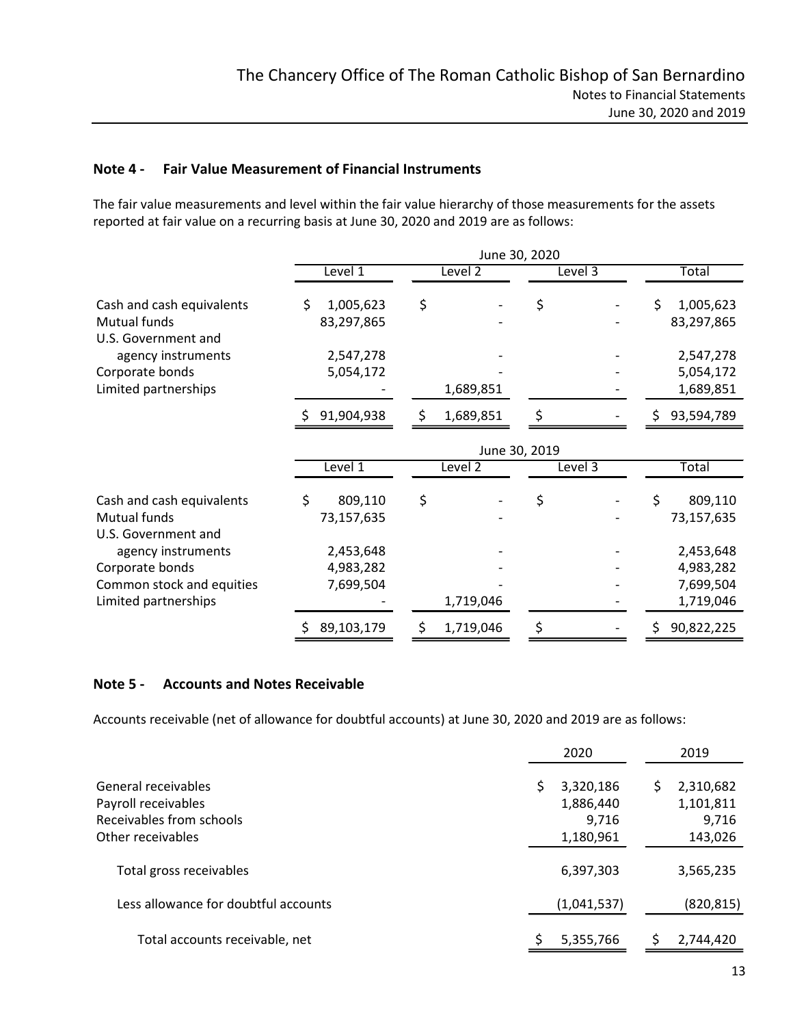# Note 4 - Fair Value Measurement of Financial Instruments

The fair value measurements and level within the fair value hierarchy of those measurements for the assets reported at fair value on a recurring basis at June 30, 2020 and 2019 are as follows:

|                                     | June 30, 2020     |                 |               |                  |  |
|-------------------------------------|-------------------|-----------------|---------------|------------------|--|
|                                     | Level 1           | Level $2$       | Level 3       | Total            |  |
| Cash and cash equivalents           | 1,005,623<br>S.   | \$              | \$            | 1,005,623        |  |
| Mutual funds<br>U.S. Government and | 83,297,865        |                 |               | 83,297,865       |  |
| agency instruments                  | 2,547,278         |                 |               | 2,547,278        |  |
| Corporate bonds                     | 5,054,172         |                 |               | 5,054,172        |  |
| Limited partnerships                |                   | 1,689,851       |               | 1,689,851        |  |
|                                     | 91,904,938        | 1,689,851<br>S. | Š.            | 93,594,789<br>S. |  |
|                                     |                   |                 | June 30, 2019 |                  |  |
|                                     | Level 1           | Level 2         | Level 3       | Total            |  |
| Cash and cash equivalents           | \$<br>809,110     | \$              | \$            | 809,110          |  |
| Mutual funds<br>U.S. Government and | 73,157,635        |                 |               | 73,157,635       |  |
| agency instruments                  | 2,453,648         |                 |               | 2,453,648        |  |
| Corporate bonds                     | 4,983,282         |                 |               | 4,983,282        |  |
| Common stock and equities           | 7,699,504         |                 |               | 7,699,504        |  |
| Limited partnerships                |                   | 1,719,046       | -             | 1,719,046        |  |
|                                     | 89,103,179<br>\$. | 1,719,046<br>S. | \$            | 90,822,225       |  |

# Note 5 - Accounts and Notes Receivable

Accounts receivable (net of allowance for doubtful accounts) at June 30, 2020 and 2019 are as follows:

|                                      | 2020        | 2019       |
|--------------------------------------|-------------|------------|
| General receivables                  | 3,320,186   | 2,310,682  |
| Payroll receivables                  | 1,886,440   | 1,101,811  |
| Receivables from schools             | 9,716       | 9,716      |
| Other receivables                    | 1,180,961   | 143,026    |
| Total gross receivables              | 6,397,303   | 3,565,235  |
| Less allowance for doubtful accounts | (1,041,537) | (820, 815) |
| Total accounts receivable, net       | 5,355,766   | 2,744,420  |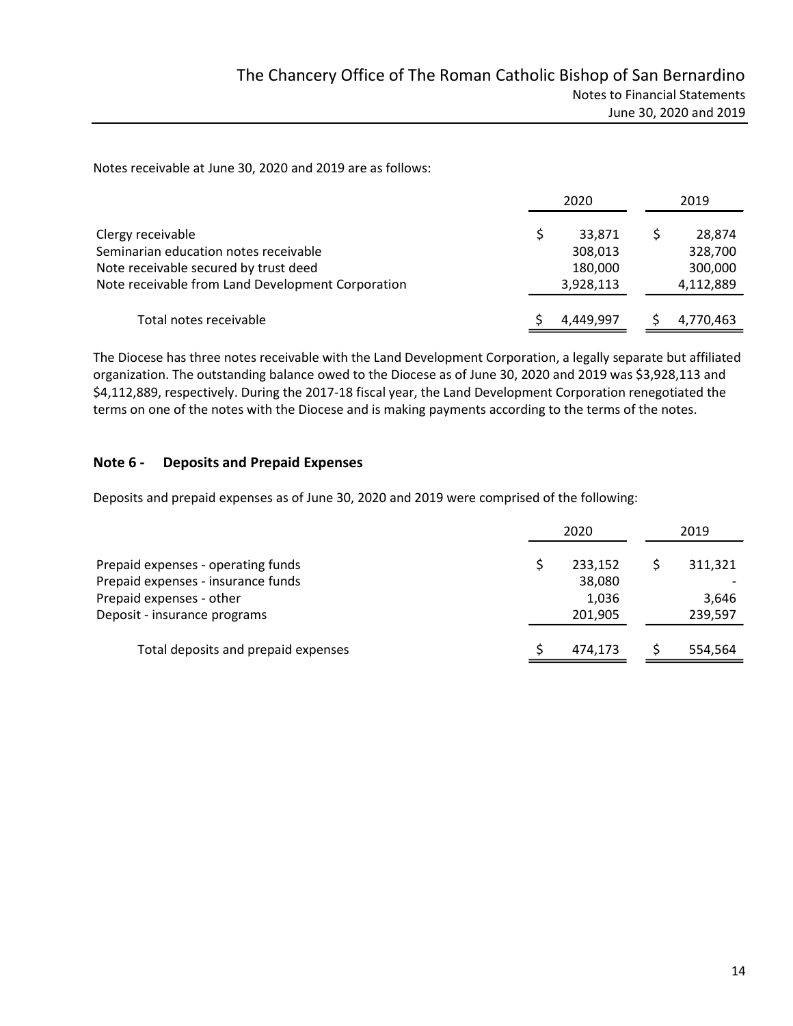Notes receivable at June 30, 2020 and 2019 are as follows:

|                                                   | 2020 |           | 2019      |  |
|---------------------------------------------------|------|-----------|-----------|--|
| Clergy receivable                                 |      | 33,871    | 28,874    |  |
| Seminarian education notes receivable             |      | 308,013   | 328,700   |  |
| Note receivable secured by trust deed             |      | 180,000   | 300,000   |  |
| Note receivable from Land Development Corporation |      | 3,928,113 | 4,112,889 |  |
| Total notes receivable                            |      | 4.449.997 | 4,770,463 |  |

The Diocese has three notes receivable with the Land Development Corporation, a legally separate but affiliated organization. The outstanding balance owed to the Diocese as of June 30, 2020 and 2019 was \$3,928,113 and \$4,112,889, respectively. During the 2017-18 fiscal year, the Land Development Corporation renegotiated the terms on one of the notes with the Diocese and is making payments according to the terms of the notes.

# Note 6 - Deposits and Prepaid Expenses

Deposits and prepaid expenses as of June 30, 2020 and 2019 were comprised of the following:

|                                     | 2020 |         | 2019 |                          |  |  |
|-------------------------------------|------|---------|------|--------------------------|--|--|
| Prepaid expenses - operating funds  |      | 233,152 |      | 311,321                  |  |  |
| Prepaid expenses - insurance funds  |      | 38,080  |      | $\overline{\phantom{a}}$ |  |  |
| Prepaid expenses - other            |      | 1.036   |      | 3,646                    |  |  |
| Deposit - insurance programs        |      | 201,905 |      | 239,597                  |  |  |
| Total deposits and prepaid expenses |      | 474,173 |      | 554,564                  |  |  |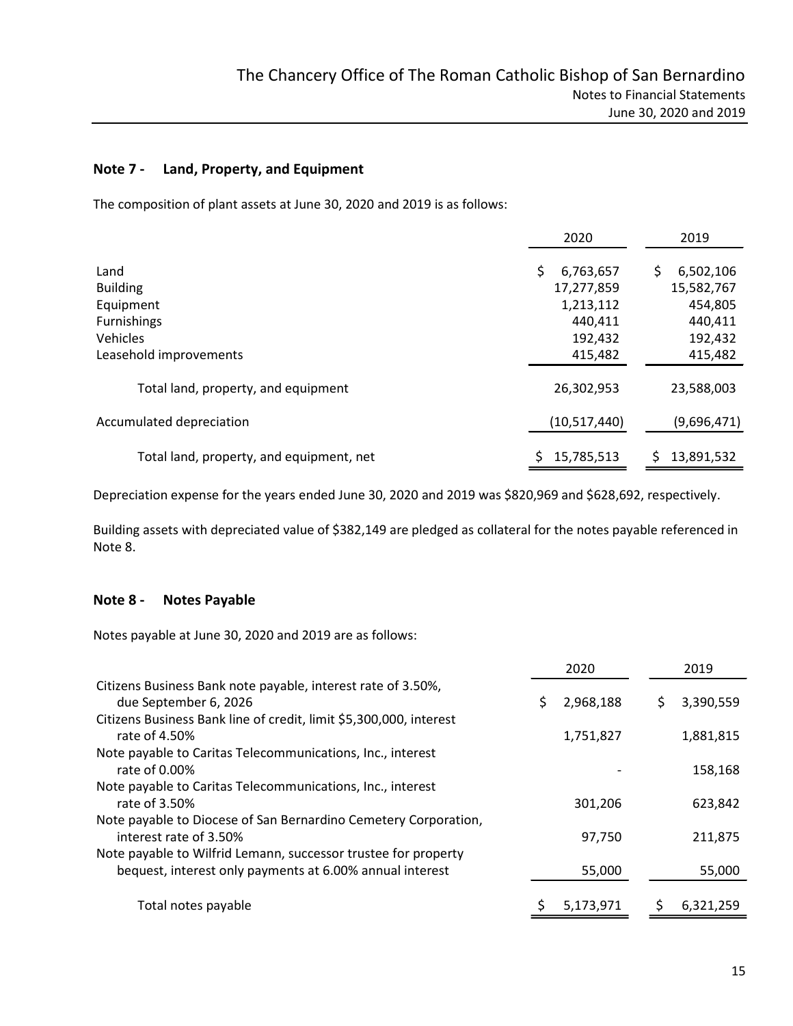# Note 7 - Land, Property, and Equipment

The composition of plant assets at June 30, 2020 and 2019 is as follows:

|                                          | 2020            | 2019             |
|------------------------------------------|-----------------|------------------|
| Land                                     | 6,763,657<br>Ś. | 6,502,106<br>S   |
| <b>Building</b>                          | 17,277,859      | 15,582,767       |
| Equipment                                | 1,213,112       | 454,805          |
| <b>Furnishings</b>                       | 440,411         | 440,411          |
| Vehicles                                 | 192,432         | 192,432          |
| Leasehold improvements                   | 415,482         | 415,482          |
| Total land, property, and equipment      | 26,302,953      | 23,588,003       |
| Accumulated depreciation                 | (10,517,440)    | (9,696,471)      |
| Total land, property, and equipment, net | 15,785,513      | 13,891,532<br>S. |

Depreciation expense for the years ended June 30, 2020 and 2019 was \$820,969 and \$628,692, respectively.

Building assets with depreciated value of \$382,149 are pledged as collateral for the notes payable referenced in Note 8.

# Note 8 - Notes Payable

Notes payable at June 30, 2020 and 2019 are as follows:

|                                                                                       | 2020      | 2019      |
|---------------------------------------------------------------------------------------|-----------|-----------|
| Citizens Business Bank note payable, interest rate of 3.50%,<br>due September 6, 2026 | 2,968,188 | 3,390,559 |
| Citizens Business Bank line of credit, limit \$5,300,000, interest                    |           |           |
| rate of 4.50%                                                                         | 1,751,827 | 1,881,815 |
| Note payable to Caritas Telecommunications, Inc., interest                            |           |           |
| rate of 0.00%                                                                         |           | 158,168   |
| Note payable to Caritas Telecommunications, Inc., interest                            |           |           |
| rate of 3.50%                                                                         | 301,206   | 623,842   |
| Note payable to Diocese of San Bernardino Cemetery Corporation,                       |           |           |
| interest rate of 3.50%                                                                | 97,750    | 211,875   |
| Note payable to Wilfrid Lemann, successor trustee for property                        |           |           |
| bequest, interest only payments at 6.00% annual interest                              | 55,000    | 55,000    |
| Total notes payable                                                                   | 5,173,971 | 6.321.259 |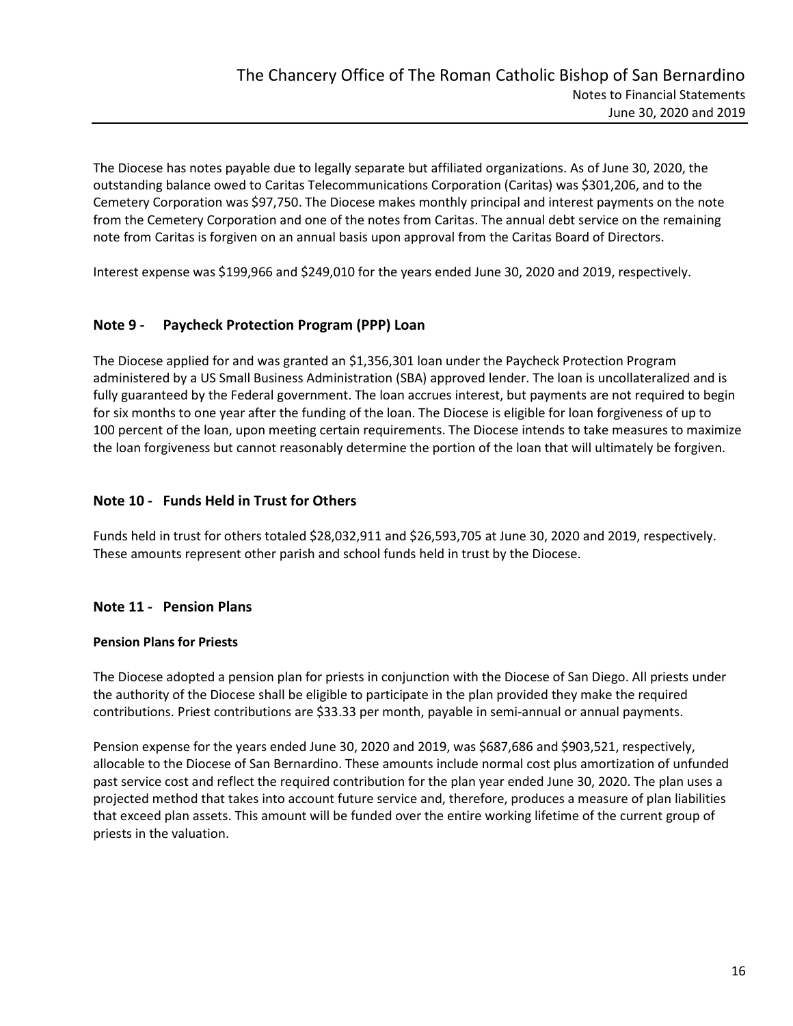The Diocese has notes payable due to legally separate but affiliated organizations. As of June 30, 2020, the outstanding balance owed to Caritas Telecommunications Corporation (Caritas) was \$301,206, and to the Cemetery Corporation was \$97,750. The Diocese makes monthly principal and interest payments on the note from the Cemetery Corporation and one of the notes from Caritas. The annual debt service on the remaining note from Caritas is forgiven on an annual basis upon approval from the Caritas Board of Directors.

Interest expense was \$199,966 and \$249,010 for the years ended June 30, 2020 and 2019, respectively.

# Note 9 - Paycheck Protection Program (PPP) Loan

The Diocese applied for and was granted an \$1,356,301 loan under the Paycheck Protection Program administered by a US Small Business Administration (SBA) approved lender. The loan is uncollateralized and is fully guaranteed by the Federal government. The loan accrues interest, but payments are not required to begin for six months to one year after the funding of the loan. The Diocese is eligible for loan forgiveness of up to 100 percent of the loan, upon meeting certain requirements. The Diocese intends to take measures to maximize the loan forgiveness but cannot reasonably determine the portion of the loan that will ultimately be forgiven.

#### Note 10 - Funds Held in Trust for Others

Funds held in trust for others totaled \$28,032,911 and \$26,593,705 at June 30, 2020 and 2019, respectively. These amounts represent other parish and school funds held in trust by the Diocese.

#### Note 11 - Pension Plans

#### Pension Plans for Priests

The Diocese adopted a pension plan for priests in conjunction with the Diocese of San Diego. All priests under the authority of the Diocese shall be eligible to participate in the plan provided they make the required contributions. Priest contributions are \$33.33 per month, payable in semi-annual or annual payments.

Pension expense for the years ended June 30, 2020 and 2019, was \$687,686 and \$903,521, respectively, allocable to the Diocese of San Bernardino. These amounts include normal cost plus amortization of unfunded past service cost and reflect the required contribution for the plan year ended June 30, 2020. The plan uses a projected method that takes into account future service and, therefore, produces a measure of plan liabilities that exceed plan assets. This amount will be funded over the entire working lifetime of the current group of priests in the valuation.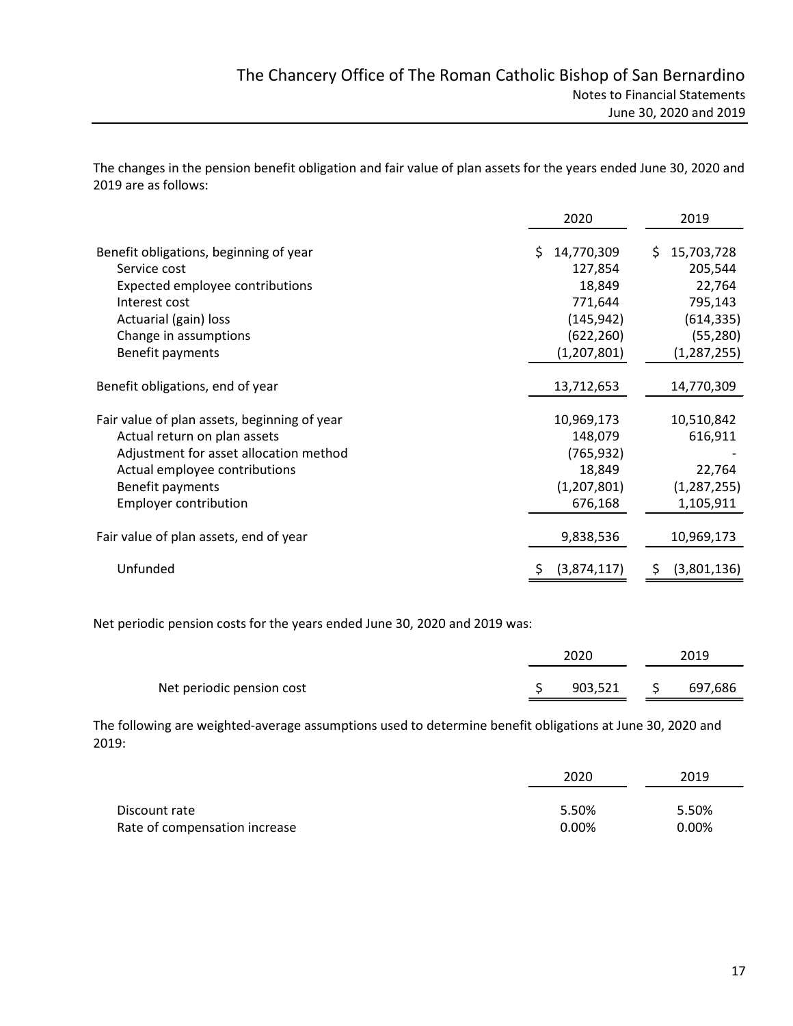The changes in the pension benefit obligation and fair value of plan assets for the years ended June 30, 2020 and 2019 are as follows:

|                                              | 2020             | 2019             |
|----------------------------------------------|------------------|------------------|
| Benefit obligations, beginning of year       | 14,770,309<br>S. | 15,703,728<br>S. |
| Service cost                                 | 127,854          | 205,544          |
| Expected employee contributions              | 18,849           | 22,764           |
| Interest cost                                | 771,644          | 795,143          |
| Actuarial (gain) loss                        | (145, 942)       | (614, 335)       |
| Change in assumptions                        | (622, 260)       | (55, 280)        |
| Benefit payments                             | (1,207,801)      | (1, 287, 255)    |
| Benefit obligations, end of year             | 13,712,653       | 14,770,309       |
| Fair value of plan assets, beginning of year | 10,969,173       | 10,510,842       |
| Actual return on plan assets                 | 148,079          | 616,911          |
| Adjustment for asset allocation method       | (765, 932)       |                  |
| Actual employee contributions                | 18,849           | 22,764           |
| Benefit payments                             | (1,207,801)      | (1, 287, 255)    |
| <b>Employer contribution</b>                 | 676,168          | 1,105,911        |
| Fair value of plan assets, end of year       | 9,838,536        | 10,969,173       |
| Unfunded                                     | (3,874,117)      | (3,801,136)<br>S |

Net periodic pension costs for the years ended June 30, 2020 and 2019 was:

|                           | 2020    | 2019    |  |
|---------------------------|---------|---------|--|
| Net periodic pension cost | 903,521 | 697,686 |  |

The following are weighted-average assumptions used to determine benefit obligations at June 30, 2020 and 2019:

|                               | 2020  | 2019  |
|-------------------------------|-------|-------|
| Discount rate                 | 5.50% | 5.50% |
| Rate of compensation increase | 0.00% | 0.00% |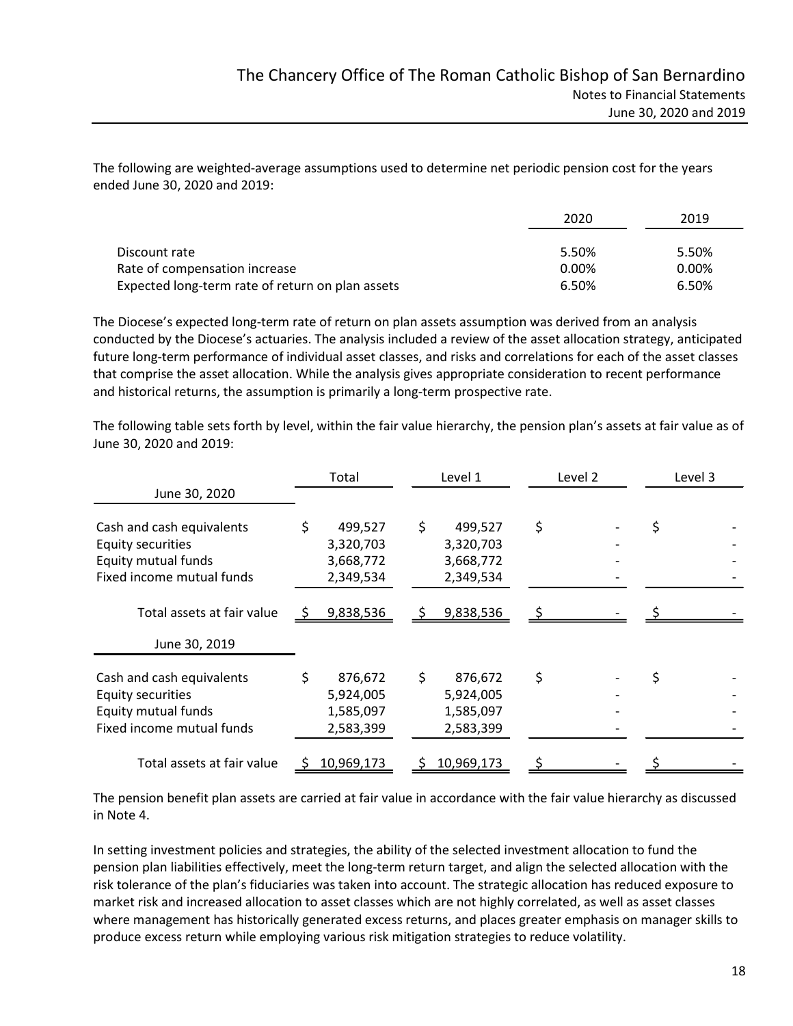The following are weighted-average assumptions used to determine net periodic pension cost for the years ended June 30, 2020 and 2019:

|                                                  | 2020  | 2019  |
|--------------------------------------------------|-------|-------|
| Discount rate                                    | 5.50% | 5.50% |
| Rate of compensation increase                    | 0.00% | 0.00% |
| Expected long-term rate of return on plan assets | 6.50% | 6.50% |

The Diocese's expected long-term rate of return on plan assets assumption was derived from an analysis conducted by the Diocese's actuaries. The analysis included a review of the asset allocation strategy, anticipated future long-term performance of individual asset classes, and risks and correlations for each of the asset classes that comprise the asset allocation. While the analysis gives appropriate consideration to recent performance and historical returns, the assumption is primarily a long-term prospective rate.

The following table sets forth by level, within the fair value hierarchy, the pension plan's assets at fair value as of June 30, 2020 and 2019:

|                            | Total      |    | Level 1    | Level 2 |  | Level 3 |
|----------------------------|------------|----|------------|---------|--|---------|
| June 30, 2020              |            |    |            |         |  |         |
| Cash and cash equivalents  | 499,527    | Ś. | 499,527    | \$      |  |         |
| Equity securities          | 3,320,703  |    | 3,320,703  |         |  |         |
| Equity mutual funds        | 3,668,772  |    | 3,668,772  |         |  |         |
| Fixed income mutual funds  | 2,349,534  |    | 2,349,534  |         |  |         |
| Total assets at fair value | 9,838,536  |    | 9,838,536  |         |  |         |
| June 30, 2019              |            |    |            |         |  |         |
| Cash and cash equivalents  | 876,672    |    | 876,672    | \$      |  |         |
| Equity securities          | 5,924,005  |    | 5,924,005  |         |  |         |
| Equity mutual funds        | 1,585,097  |    | 1,585,097  |         |  |         |
| Fixed income mutual funds  | 2,583,399  |    | 2,583,399  |         |  |         |
| Total assets at fair value | 10,969,173 |    | 10,969,173 |         |  |         |

The pension benefit plan assets are carried at fair value in accordance with the fair value hierarchy as discussed in Note 4.

In setting investment policies and strategies, the ability of the selected investment allocation to fund the pension plan liabilities effectively, meet the long-term return target, and align the selected allocation with the risk tolerance of the plan's fiduciaries was taken into account. The strategic allocation has reduced exposure to market risk and increased allocation to asset classes which are not highly correlated, as well as asset classes where management has historically generated excess returns, and places greater emphasis on manager skills to produce excess return while employing various risk mitigation strategies to reduce volatility.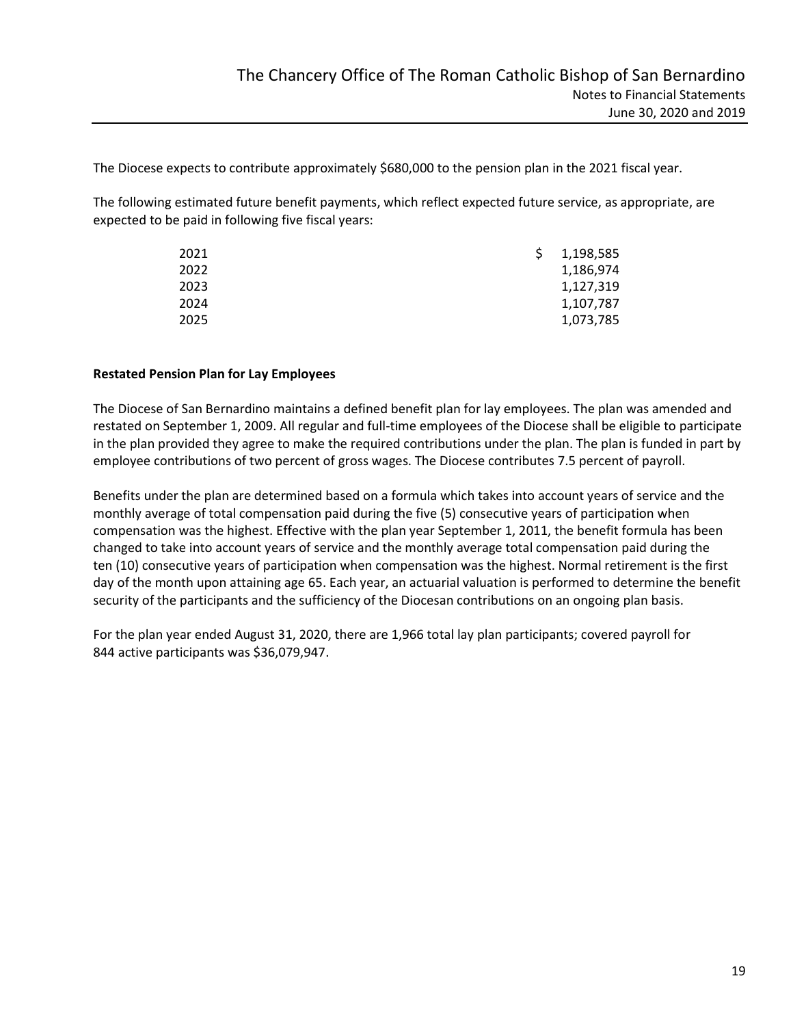The Diocese expects to contribute approximately \$680,000 to the pension plan in the 2021 fiscal year.

The following estimated future benefit payments, which reflect expected future service, as appropriate, are expected to be paid in following five fiscal years:

| S. | 1,198,585 |
|----|-----------|
|    | 1,186,974 |
|    | 1,127,319 |
|    | 1,107,787 |
|    | 1,073,785 |
|    |           |

#### Restated Pension Plan for Lay Employees

The Diocese of San Bernardino maintains a defined benefit plan for lay employees. The plan was amended and restated on September 1, 2009. All regular and full-time employees of the Diocese shall be eligible to participate in the plan provided they agree to make the required contributions under the plan. The plan is funded in part by employee contributions of two percent of gross wages. The Diocese contributes 7.5 percent of payroll.

Benefits under the plan are determined based on a formula which takes into account years of service and the monthly average of total compensation paid during the five (5) consecutive years of participation when compensation was the highest. Effective with the plan year September 1, 2011, the benefit formula has been changed to take into account years of service and the monthly average total compensation paid during the ten (10) consecutive years of participation when compensation was the highest. Normal retirement is the first day of the month upon attaining age 65. Each year, an actuarial valuation is performed to determine the benefit security of the participants and the sufficiency of the Diocesan contributions on an ongoing plan basis.

For the plan year ended August 31, 2020, there are 1,966 total lay plan participants; covered payroll for 844 active participants was \$36,079,947.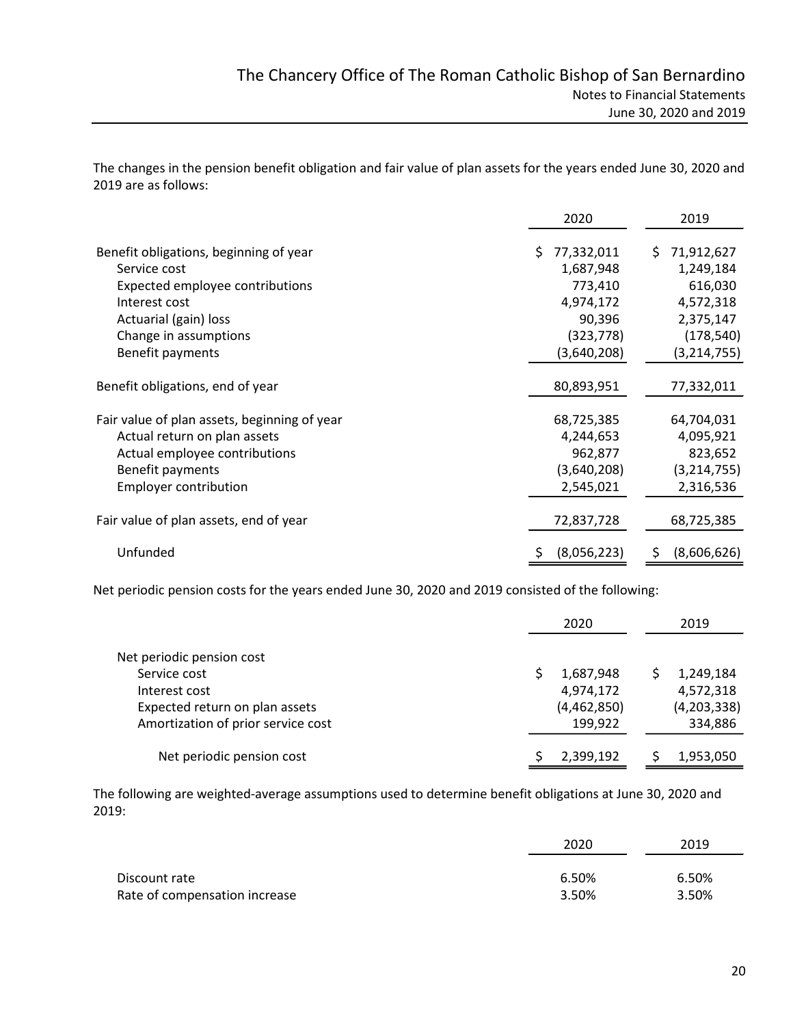The changes in the pension benefit obligation and fair value of plan assets for the years ended June 30, 2020 and 2019 are as follows:

|                                              | 2020             | 2019             |
|----------------------------------------------|------------------|------------------|
| Benefit obligations, beginning of year       | 77,332,011<br>S. | 71,912,627<br>S. |
| Service cost                                 | 1,687,948        | 1,249,184        |
| Expected employee contributions              | 773,410          | 616,030          |
| Interest cost                                | 4,974,172        | 4,572,318        |
| Actuarial (gain) loss                        | 90,396           | 2,375,147        |
| Change in assumptions                        | (323, 778)       | (178, 540)       |
| Benefit payments                             | (3,640,208)      | (3, 214, 755)    |
| Benefit obligations, end of year             | 80,893,951       | 77,332,011       |
| Fair value of plan assets, beginning of year | 68,725,385       | 64,704,031       |
| Actual return on plan assets                 | 4,244,653        | 4,095,921        |
| Actual employee contributions                | 962,877          | 823,652          |
| Benefit payments                             | (3,640,208)      | (3,214,755)      |
| <b>Employer contribution</b>                 | 2,545,021        | 2,316,536        |
| Fair value of plan assets, end of year       | 72,837,728       | 68,725,385       |
| Unfunded                                     | (8,056,223)      | (8,606,626)<br>S |

Net periodic pension costs for the years ended June 30, 2020 and 2019 consisted of the following:

|                                    | 2020        | 2019        |
|------------------------------------|-------------|-------------|
| Net periodic pension cost          |             |             |
| Service cost                       | 1,687,948   | 1,249,184   |
| Interest cost                      | 4,974,172   | 4,572,318   |
| Expected return on plan assets     | (4,462,850) | (4,203,338) |
| Amortization of prior service cost | 199,922     | 334,886     |
| Net periodic pension cost          | 2,399,192   | 1,953,050   |

The following are weighted-average assumptions used to determine benefit obligations at June 30, 2020 and 2019:

|                               | 2020  | 2019  |
|-------------------------------|-------|-------|
| Discount rate                 | 6.50% | 6.50% |
| Rate of compensation increase | 3.50% | 3.50% |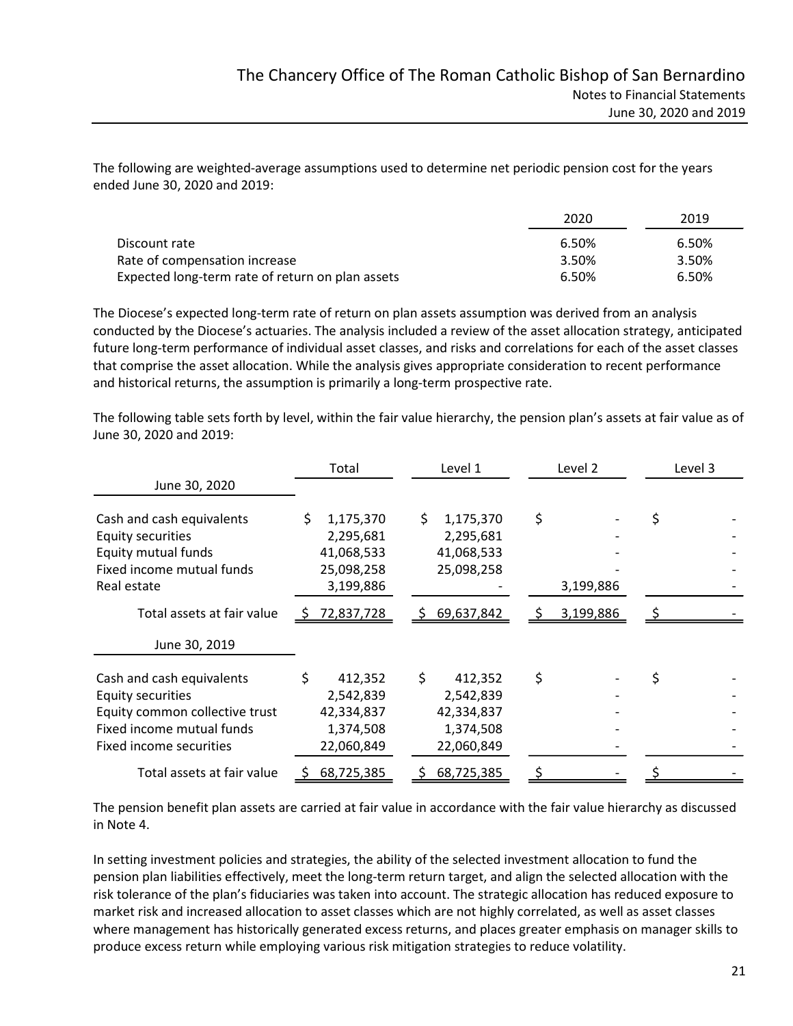The following are weighted-average assumptions used to determine net periodic pension cost for the years ended June 30, 2020 and 2019:

|                                                  | 2020  | 2019  |  |
|--------------------------------------------------|-------|-------|--|
| Discount rate                                    | 6.50% | 6.50% |  |
| Rate of compensation increase                    | 3.50% | 3.50% |  |
| Expected long-term rate of return on plan assets | 6.50% | 6.50% |  |

The Diocese's expected long-term rate of return on plan assets assumption was derived from an analysis conducted by the Diocese's actuaries. The analysis included a review of the asset allocation strategy, anticipated future long-term performance of individual asset classes, and risks and correlations for each of the asset classes that comprise the asset allocation. While the analysis gives appropriate consideration to recent performance and historical returns, the assumption is primarily a long-term prospective rate.

The following table sets forth by level, within the fair value hierarchy, the pension plan's assets at fair value as of June 30, 2020 and 2019:

|                                | Total            | Level 1          | Level 2   | Level 3 |  |  |
|--------------------------------|------------------|------------------|-----------|---------|--|--|
| June 30, 2020                  |                  |                  |           |         |  |  |
| Cash and cash equivalents      | 1,175,370        | 1,175,370<br>S.  | \$        |         |  |  |
| Equity securities              | 2,295,681        | 2,295,681        |           |         |  |  |
| Equity mutual funds            | 41,068,533       | 41,068,533       |           |         |  |  |
| Fixed income mutual funds      | 25,098,258       | 25,098,258       |           |         |  |  |
| Real estate                    | 3,199,886        |                  | 3,199,886 |         |  |  |
| Total assets at fair value     | 72,837,728<br>Ş. | 69,637,842<br>S. | 3,199,886 |         |  |  |
| June 30, 2019                  |                  |                  |           |         |  |  |
| Cash and cash equivalents      | 412,352          | Ś.<br>412,352    | \$        |         |  |  |
| Equity securities              | 2,542,839        | 2,542,839        |           |         |  |  |
| Equity common collective trust | 42,334,837       | 42,334,837       |           |         |  |  |
| Fixed income mutual funds      | 1,374,508        | 1,374,508        |           |         |  |  |
| Fixed income securities        | 22,060,849       | 22,060,849       |           |         |  |  |
| Total assets at fair value     | 68,725,385<br>S. | 68,725,385       |           |         |  |  |

The pension benefit plan assets are carried at fair value in accordance with the fair value hierarchy as discussed in Note 4.

In setting investment policies and strategies, the ability of the selected investment allocation to fund the pension plan liabilities effectively, meet the long-term return target, and align the selected allocation with the risk tolerance of the plan's fiduciaries was taken into account. The strategic allocation has reduced exposure to market risk and increased allocation to asset classes which are not highly correlated, as well as asset classes where management has historically generated excess returns, and places greater emphasis on manager skills to produce excess return while employing various risk mitigation strategies to reduce volatility.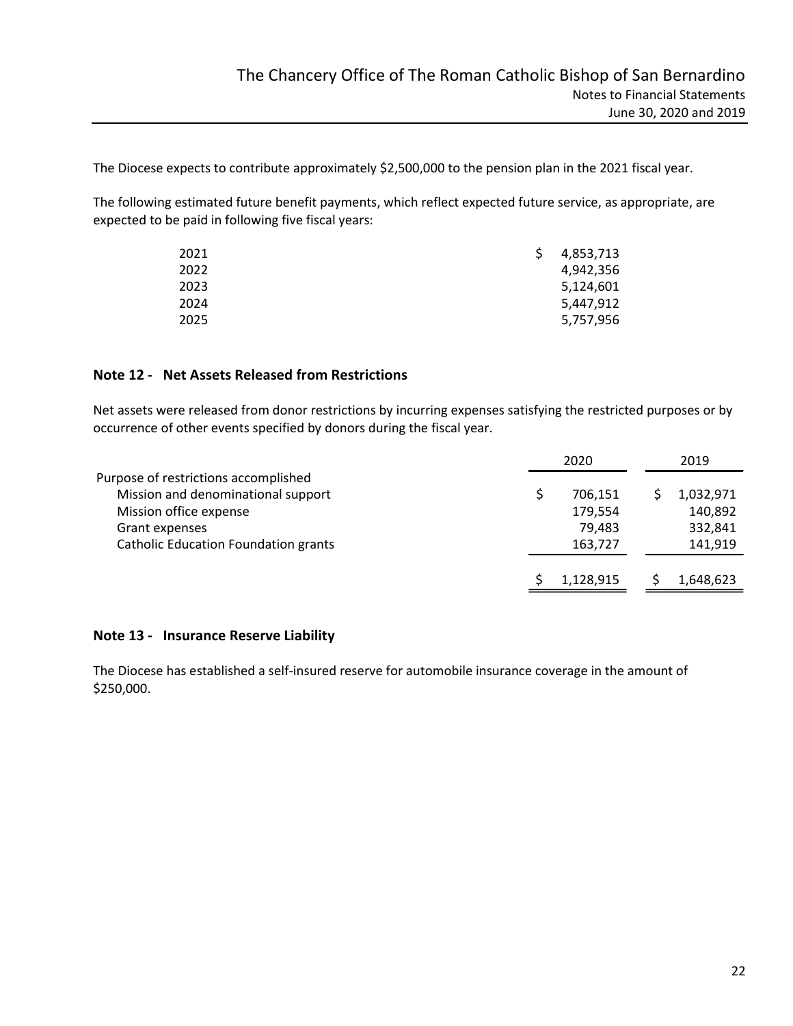The Diocese expects to contribute approximately \$2,500,000 to the pension plan in the 2021 fiscal year.

The following estimated future benefit payments, which reflect expected future service, as appropriate, are expected to be paid in following five fiscal years:

| 2021 | 4,853,713 |
|------|-----------|
| 2022 | 4,942,356 |
| 2023 | 5,124,601 |
| 2024 | 5,447,912 |
| 2025 | 5,757,956 |

# Note 12 - Net Assets Released from Restrictions

Net assets were released from donor restrictions by incurring expenses satisfying the restricted purposes or by occurrence of other events specified by donors during the fiscal year.

|                                      | 2020 |           |  | 2019      |  |
|--------------------------------------|------|-----------|--|-----------|--|
| Purpose of restrictions accomplished |      |           |  |           |  |
| Mission and denominational support   |      | 706,151   |  | 1,032,971 |  |
| Mission office expense               |      | 179,554   |  | 140,892   |  |
| Grant expenses                       |      | 79,483    |  | 332,841   |  |
| Catholic Education Foundation grants |      | 163,727   |  | 141,919   |  |
|                                      |      | 1,128,915 |  | 1,648,623 |  |

#### Note 13 - Insurance Reserve Liability

The Diocese has established a self-insured reserve for automobile insurance coverage in the amount of \$250,000.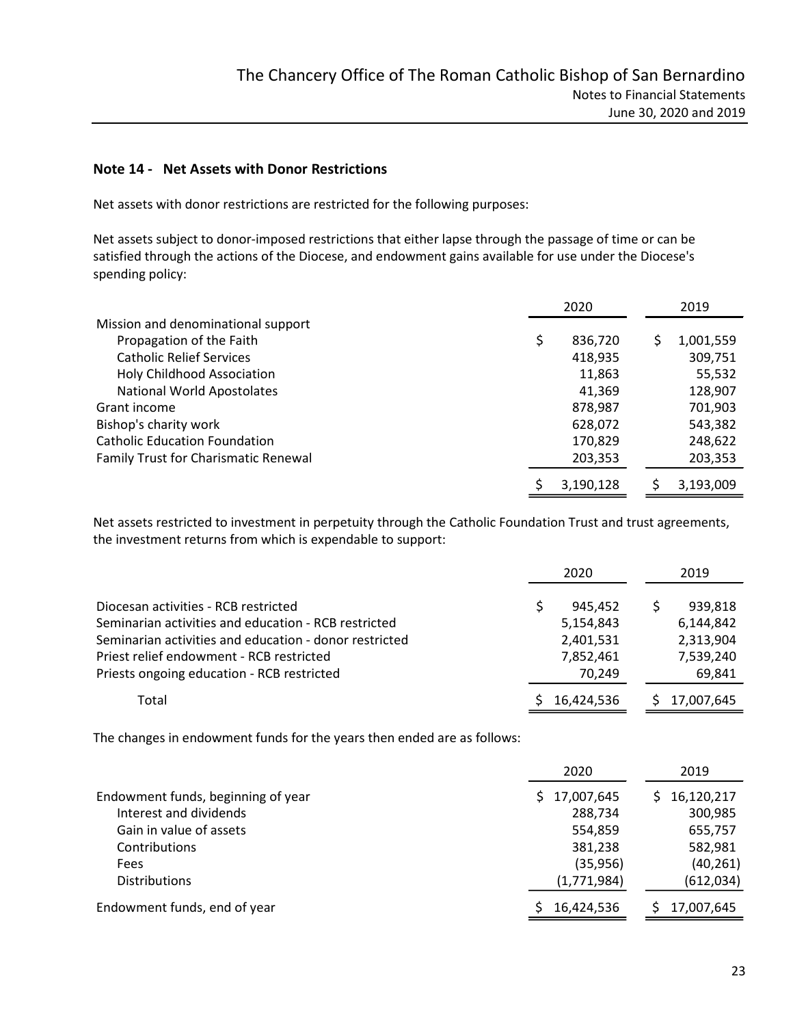#### Note 14 - Net Assets with Donor Restrictions

Net assets with donor restrictions are restricted for the following purposes:

Net assets subject to donor-imposed restrictions that either lapse through the passage of time or can be satisfied through the actions of the Diocese, and endowment gains available for use under the Diocese's spending policy:

|                                      | 2020      | 2019      |
|--------------------------------------|-----------|-----------|
| Mission and denominational support   |           |           |
| Propagation of the Faith             | 836,720   | 1,001,559 |
| <b>Catholic Relief Services</b>      | 418,935   | 309,751   |
| <b>Holy Childhood Association</b>    | 11,863    | 55,532    |
| <b>National World Apostolates</b>    | 41.369    | 128,907   |
| Grant income                         | 878,987   | 701,903   |
| Bishop's charity work                | 628,072   | 543,382   |
| <b>Catholic Education Foundation</b> | 170,829   | 248,622   |
| Family Trust for Charismatic Renewal | 203,353   | 203,353   |
|                                      | 3,190,128 | 3,193,009 |

Net assets restricted to investment in perpetuity through the Catholic Foundation Trust and trust agreements, the investment returns from which is expendable to support:

|                                                        | 2020       | 2019       |
|--------------------------------------------------------|------------|------------|
| Diocesan activities - RCB restricted                   | 945.452    | 939,818    |
| Seminarian activities and education - RCB restricted   | 5,154,843  | 6,144,842  |
| Seminarian activities and education - donor restricted | 2,401,531  | 2,313,904  |
| Priest relief endowment - RCB restricted               | 7,852,461  | 7,539,240  |
| Priests ongoing education - RCB restricted             | 70.249     | 69,841     |
| Total                                                  | 16,424,536 | 17,007,645 |

The changes in endowment funds for the years then ended are as follows:

|                                    | 2020        | 2019       |
|------------------------------------|-------------|------------|
| Endowment funds, beginning of year | 17,007,645  | 16,120,217 |
| Interest and dividends             | 288,734     | 300,985    |
| Gain in value of assets            | 554,859     | 655,757    |
| Contributions                      | 381,238     | 582,981    |
| Fees                               | (35, 956)   | (40, 261)  |
| <b>Distributions</b>               | (1,771,984) | (612,034)  |
| Endowment funds, end of year       | 16,424,536  | 17,007,645 |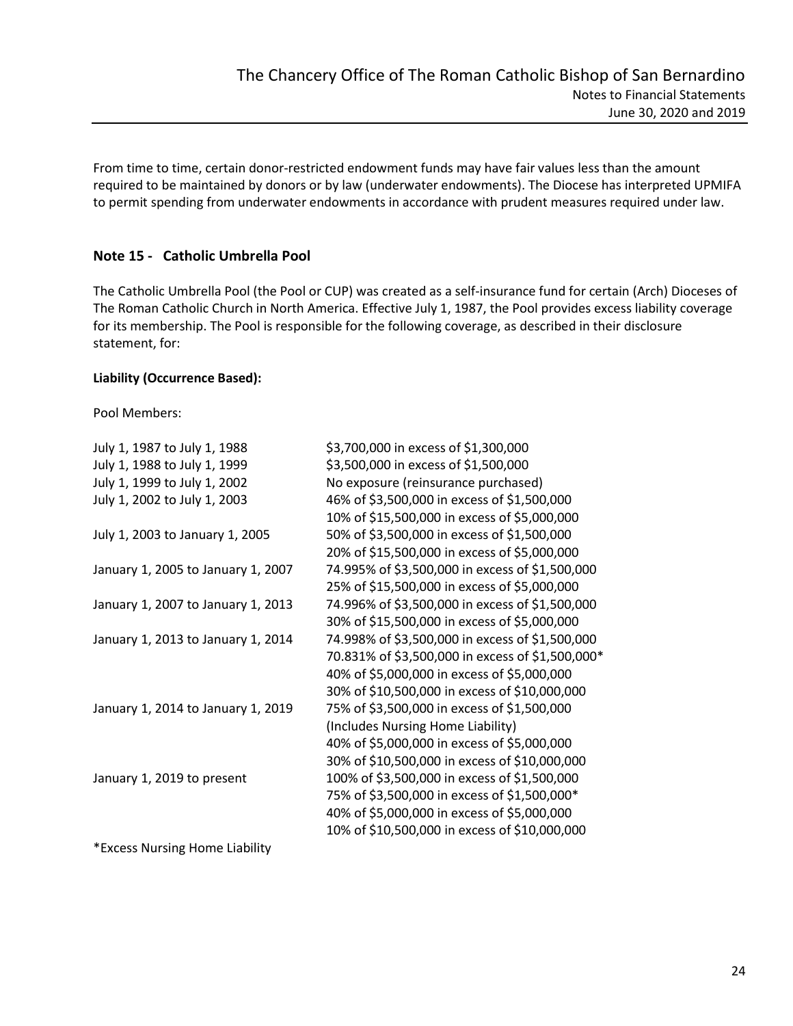From time to time, certain donor-restricted endowment funds may have fair values less than the amount required to be maintained by donors or by law (underwater endowments). The Diocese has interpreted UPMIFA to permit spending from underwater endowments in accordance with prudent measures required under law.

# Note 15 - Catholic Umbrella Pool

The Catholic Umbrella Pool (the Pool or CUP) was created as a self-insurance fund for certain (Arch) Dioceses of The Roman Catholic Church in North America. Effective July 1, 1987, the Pool provides excess liability coverage for its membership. The Pool is responsible for the following coverage, as described in their disclosure statement, for:

#### Liability (Occurrence Based):

Pool Members:

| July 1, 1987 to July 1, 1988       | \$3,700,000 in excess of \$1,300,000             |
|------------------------------------|--------------------------------------------------|
| July 1, 1988 to July 1, 1999       | \$3,500,000 in excess of \$1,500,000             |
| July 1, 1999 to July 1, 2002       | No exposure (reinsurance purchased)              |
| July 1, 2002 to July 1, 2003       | 46% of \$3,500,000 in excess of \$1,500,000      |
|                                    | 10% of \$15,500,000 in excess of \$5,000,000     |
| July 1, 2003 to January 1, 2005    | 50% of \$3,500,000 in excess of \$1,500,000      |
|                                    | 20% of \$15,500,000 in excess of \$5,000,000     |
| January 1, 2005 to January 1, 2007 | 74.995% of \$3,500,000 in excess of \$1,500,000  |
|                                    | 25% of \$15,500,000 in excess of \$5,000,000     |
| January 1, 2007 to January 1, 2013 | 74.996% of \$3,500,000 in excess of \$1,500,000  |
|                                    | 30% of \$15,500,000 in excess of \$5,000,000     |
| January 1, 2013 to January 1, 2014 | 74.998% of \$3,500,000 in excess of \$1,500,000  |
|                                    | 70.831% of \$3,500,000 in excess of \$1,500,000* |
|                                    | 40% of \$5,000,000 in excess of \$5,000,000      |
|                                    | 30% of \$10,500,000 in excess of \$10,000,000    |
| January 1, 2014 to January 1, 2019 | 75% of \$3,500,000 in excess of \$1,500,000      |
|                                    | (Includes Nursing Home Liability)                |
|                                    | 40% of \$5,000,000 in excess of \$5,000,000      |
|                                    | 30% of \$10,500,000 in excess of \$10,000,000    |
| January 1, 2019 to present         | 100% of \$3,500,000 in excess of \$1,500,000     |
|                                    | 75% of \$3,500,000 in excess of \$1,500,000*     |
|                                    | 40% of \$5,000,000 in excess of \$5,000,000      |
|                                    | 10% of \$10,500,000 in excess of \$10,000,000    |
| *Excess Nursing Home Liability     |                                                  |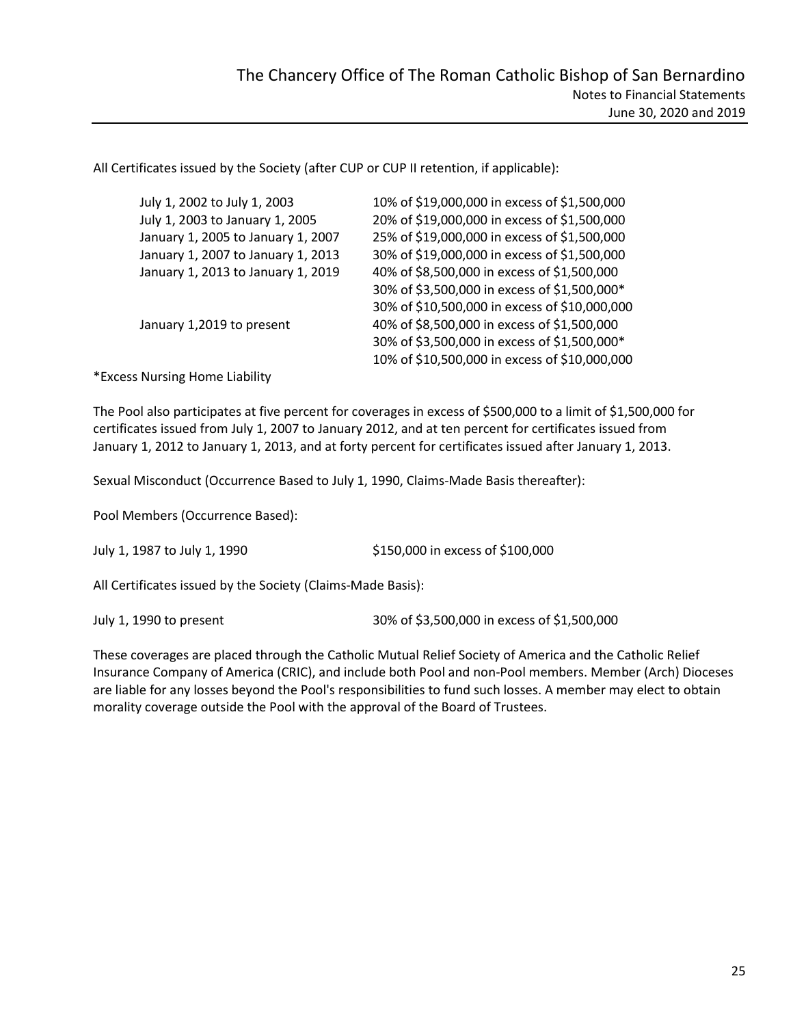All Certificates issued by the Society (after CUP or CUP II retention, if applicable):

| July 1, 2002 to July 1, 2003       | 10% of \$19,000,000 in excess of \$1,500,000  |
|------------------------------------|-----------------------------------------------|
| July 1, 2003 to January 1, 2005    | 20% of \$19,000,000 in excess of \$1,500,000  |
| January 1, 2005 to January 1, 2007 | 25% of \$19,000,000 in excess of \$1,500,000  |
| January 1, 2007 to January 1, 2013 | 30% of \$19,000,000 in excess of \$1,500,000  |
| January 1, 2013 to January 1, 2019 | 40% of \$8,500,000 in excess of \$1,500,000   |
|                                    | 30% of \$3,500,000 in excess of \$1,500,000*  |
|                                    | 30% of \$10,500,000 in excess of \$10,000,000 |
| January 1,2019 to present          | 40% of \$8,500,000 in excess of \$1,500,000   |
|                                    | 30% of \$3,500,000 in excess of \$1,500,000*  |
|                                    | 10% of \$10,500,000 in excess of \$10,000,000 |
|                                    |                                               |

\*Excess Nursing Home Liability

The Pool also participates at five percent for coverages in excess of \$500,000 to a limit of \$1,500,000 for certificates issued from July 1, 2007 to January 2012, and at ten percent for certificates issued from January 1, 2012 to January 1, 2013, and at forty percent for certificates issued after January 1, 2013.

Sexual Misconduct (Occurrence Based to July 1, 1990, Claims-Made Basis thereafter):

Pool Members (Occurrence Based):

July 1, 1987 to July 1, 1990 \$150,000 in excess of \$100,000

All Certificates issued by the Society (Claims-Made Basis):

July 1, 1990 to present 30% of \$3,500,000 in excess of \$1,500,000

These coverages are placed through the Catholic Mutual Relief Society of America and the Catholic Relief Insurance Company of America (CRIC), and include both Pool and non-Pool members. Member (Arch) Dioceses are liable for any losses beyond the Pool's responsibilities to fund such losses. A member may elect to obtain morality coverage outside the Pool with the approval of the Board of Trustees.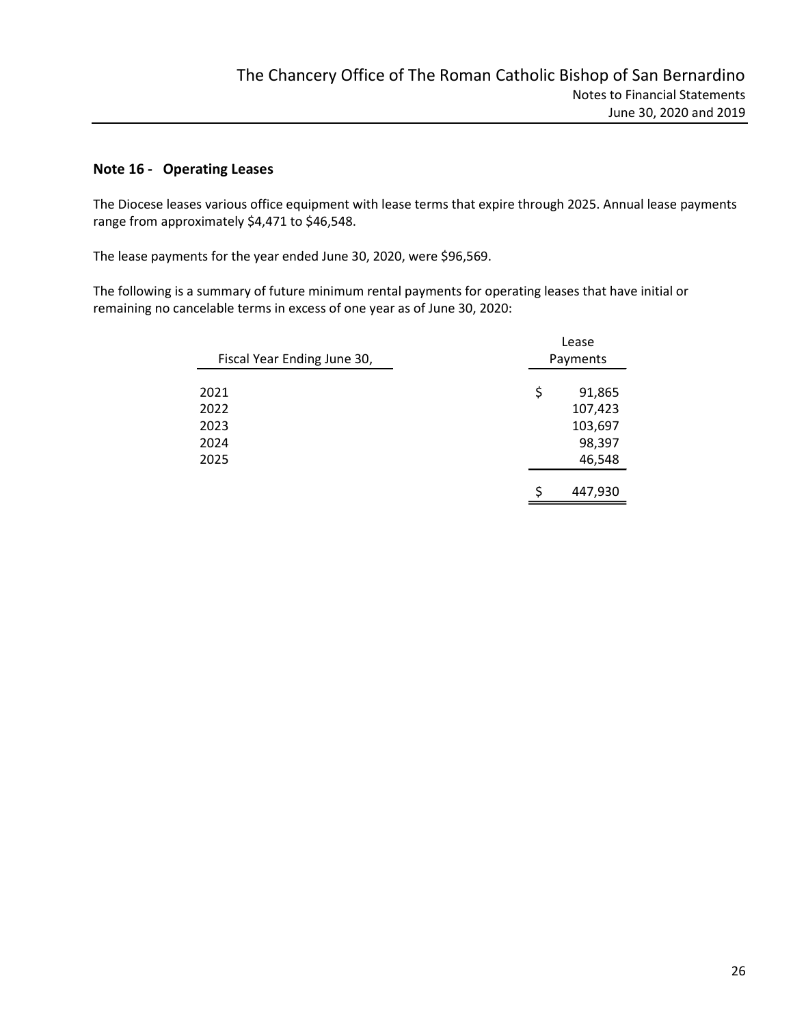# Note 16 - Operating Leases

The Diocese leases various office equipment with lease terms that expire through 2025. Annual lease payments range from approximately \$4,471 to \$46,548.

The lease payments for the year ended June 30, 2020, were \$96,569.

The following is a summary of future minimum rental payments for operating leases that have initial or remaining no cancelable terms in excess of one year as of June 30, 2020:

| Fiscal Year Ending June 30, | Lease<br>Payments |
|-----------------------------|-------------------|
| 2021                        | \$<br>91,865      |
| 2022                        | 107,423           |
| 2023                        | 103,697           |
| 2024                        | 98,397            |
| 2025                        | 46,548            |
|                             | 447,930<br>S      |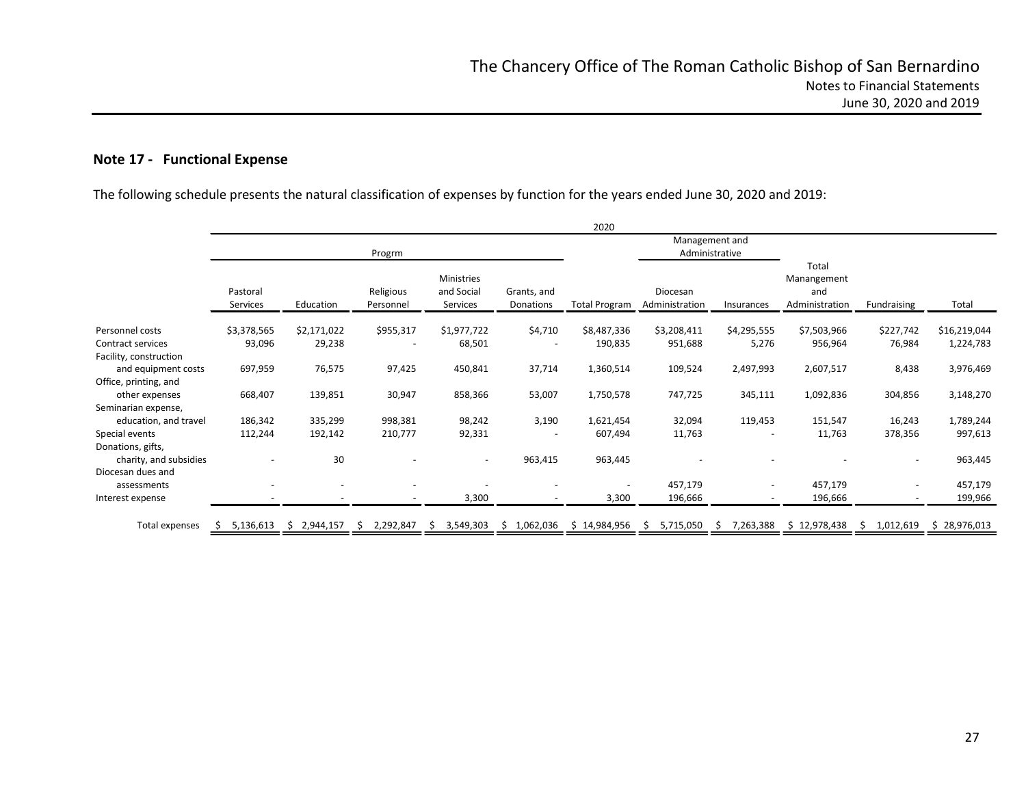# Note 17 - Functional Expense

The following schedule presents the natural classification of expenses by function for the years ended June 30, 2020 and 2019:

|                                              |                      |                          |                                                                                |                                      |                          |                                   | Management and<br>Administrative |                          |                                                    |                          |                    |
|----------------------------------------------|----------------------|--------------------------|--------------------------------------------------------------------------------|--------------------------------------|--------------------------|-----------------------------------|----------------------------------|--------------------------|----------------------------------------------------|--------------------------|--------------------|
|                                              | Pastoral<br>Services | Education                | Progrm<br>Religious<br>Personnel                                               | Ministries<br>and Social<br>Services | Grants, and<br>Donations | <b>Total Program</b>              | Diocesan<br>Administration       | Insurances               | Total<br>Manangement<br>and<br>Administration      | Fundraising              | Total              |
| Personnel costs                              | \$3,378,565          | \$2,171,022              | \$955,317                                                                      | \$1,977,722                          | \$4,710                  | \$8,487,336                       | \$3,208,411                      | \$4,295,555              | \$7,503,966                                        | \$227,742                | \$16,219,044       |
| Contract services<br>Facility, construction  | 93,096               | 29,238                   | $\overline{\phantom{a}}$                                                       | 68,501                               |                          | 190,835                           | 951,688                          | 5,276                    | 956,964                                            | 76,984                   | 1,224,783          |
| and equipment costs<br>Office, printing, and | 697,959              | 76,575                   | 97,425                                                                         | 450,841                              | 37,714                   | 1,360,514                         | 109,524                          | 2,497,993                | 2,607,517                                          | 8,438                    | 3,976,469          |
| other expenses<br>Seminarian expense,        | 668,407              | 139,851                  | 30,947                                                                         | 858,366                              | 53,007                   | 1,750,578                         | 747,725                          | 345,111                  | 1,092,836                                          | 304,856                  | 3,148,270          |
| education, and travel                        | 186,342              | 335,299                  | 998,381                                                                        | 98,242                               | 3,190                    | 1,621,454                         | 32,094                           | 119,453                  | 151,547                                            | 16,243                   | 1,789,244          |
| Special events<br>Donations, gifts,          | 112,244              | 192,142                  | 210,777                                                                        | 92,331                               |                          | 607,494                           | 11,763                           | $\overline{\phantom{a}}$ | 11,763                                             | 378,356                  | 997,613            |
| charity, and subsidies<br>Diocesan dues and  |                      | 30                       | $\overline{\phantom{a}}$                                                       | $\sim$                               | 963,415                  | 963,445                           |                                  |                          |                                                    | $\overline{\phantom{a}}$ | 963,445            |
| assessments<br>Interest expense              |                      | $\overline{\phantom{a}}$ | $\overline{\phantom{a}}$                                                       | $\overline{\phantom{a}}$<br>3,300    |                          | $\overline{\phantom{a}}$<br>3,300 | 457,179<br>196,666               | $\sim$                   | 457,179<br>196,666                                 |                          | 457,179<br>199,966 |
| Total expenses                               |                      |                          | $$5,136,613$ $$2,944,157$ $$2,292,847$ $$3,549,303$ $$1,062,036$ $$14,984,956$ |                                      |                          |                                   | $$5,715,050$ \$                  |                          | 7,263,388 \$ 12,978,438 \$ 1,012,619 \$ 28,976,013 |                          |                    |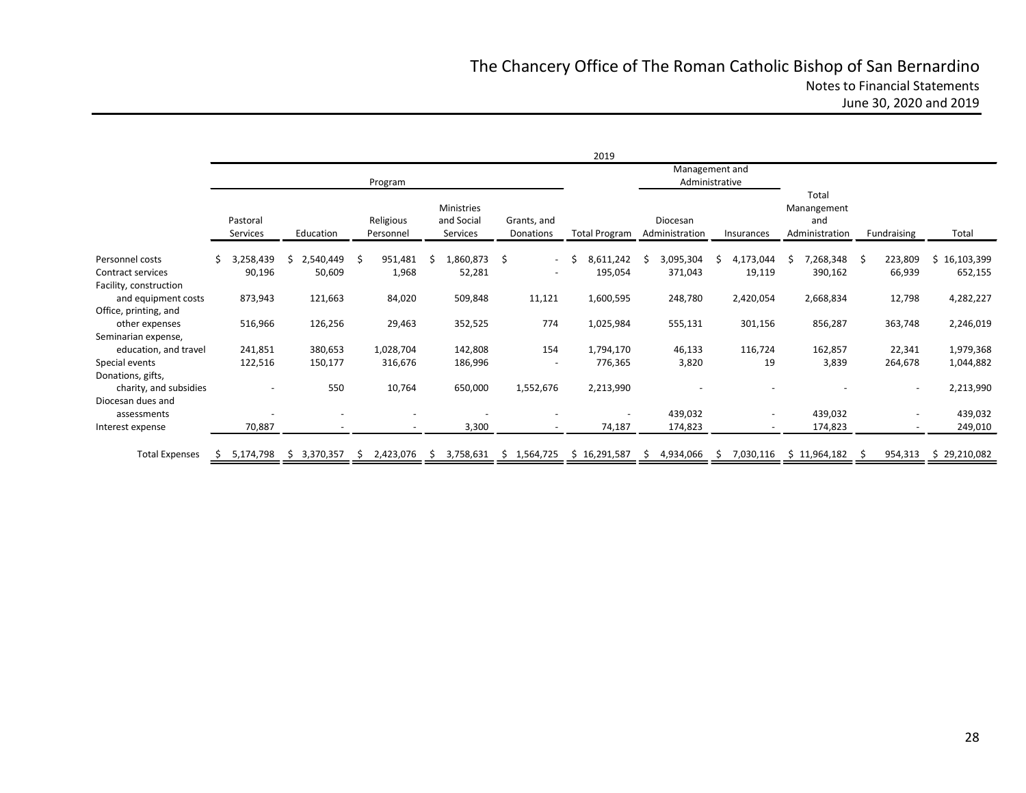|                                              |                                    |                            | Program                |                                      |                          | 2019                               | Management and<br>Administrative |                          |                                               |                          |                       |
|----------------------------------------------|------------------------------------|----------------------------|------------------------|--------------------------------------|--------------------------|------------------------------------|----------------------------------|--------------------------|-----------------------------------------------|--------------------------|-----------------------|
|                                              | Pastoral<br>Services               | Education                  | Religious<br>Personnel | Ministries<br>and Social<br>Services | Grants, and<br>Donations | <b>Total Program</b>               | Diocesan<br>Administration       | Insurances               | Total<br>Manangement<br>and<br>Administration | Fundraising              | Total                 |
| Personnel costs                              | 3,258,439<br>Ŝ.                    | 2,540,449<br><sup>\$</sup> | 951,481<br>-Ś          | 1,860,873 \$<br>S.                   | $\sim$                   | 8,611,242                          | 3,095,304<br>Ŝ.                  | 4,173,044<br>Ŝ.          | 7,268,348<br>S                                | 223,809<br>- \$          | \$16,103,399          |
| Contract services<br>Facility, construction  | 90,196                             | 50,609                     | 1,968                  | 52,281                               | $\overline{\phantom{a}}$ | 195,054                            | 371,043                          | 19,119                   | 390,162                                       | 66,939                   | 652,155               |
| and equipment costs<br>Office, printing, and | 873,943                            | 121,663                    | 84,020                 | 509,848                              | 11,121                   | 1,600,595                          | 248,780                          | 2,420,054                | 2,668,834                                     | 12,798                   | 4,282,227             |
| other expenses<br>Seminarian expense,        | 516,966                            | 126,256                    | 29,463                 | 352,525                              | 774                      | 1,025,984                          | 555,131                          | 301,156                  | 856,287                                       | 363,748                  | 2,246,019             |
| education, and travel                        | 241,851                            | 380,653                    | 1,028,704              | 142,808                              | 154                      | 1,794,170                          | 46,133                           | 116,724                  | 162,857                                       | 22,341                   | 1,979,368             |
| Special events<br>Donations, gifts,          | 122,516                            | 150,177                    | 316,676                | 186,996                              | $\overline{\phantom{a}}$ | 776,365                            | 3,820                            | 19                       | 3,839                                         | 264,678                  | 1,044,882             |
| charity, and subsidies<br>Diocesan dues and  | $\overline{\phantom{a}}$           | 550                        | 10,764                 | 650,000                              | 1,552,676                | 2,213,990                          |                                  |                          |                                               | $\overline{\phantom{a}}$ | 2,213,990             |
| assessments<br>Interest expense              | $\overline{\phantom{a}}$<br>70,887 | $\overline{\phantom{a}}$   |                        | $\overline{\phantom{a}}$<br>3,300    |                          | $\overline{\phantom{a}}$<br>74,187 | 439,032<br>174,823               | $\overline{\phantom{a}}$ | 439,032<br>174,823                            |                          | 439,032<br>249,010    |
| <b>Total Expenses</b>                        | 5,174,798<br>S.                    | \$3,370,357                | 2,423,076 \$<br>S.     |                                      | 3,758,631 \$ 1,564,725   | \$16,291,587                       | 4,934,066<br>\$                  | -S                       | 7,030,116 \$ 11,964,182                       | - 5                      | 954,313 \$ 29,210,082 |